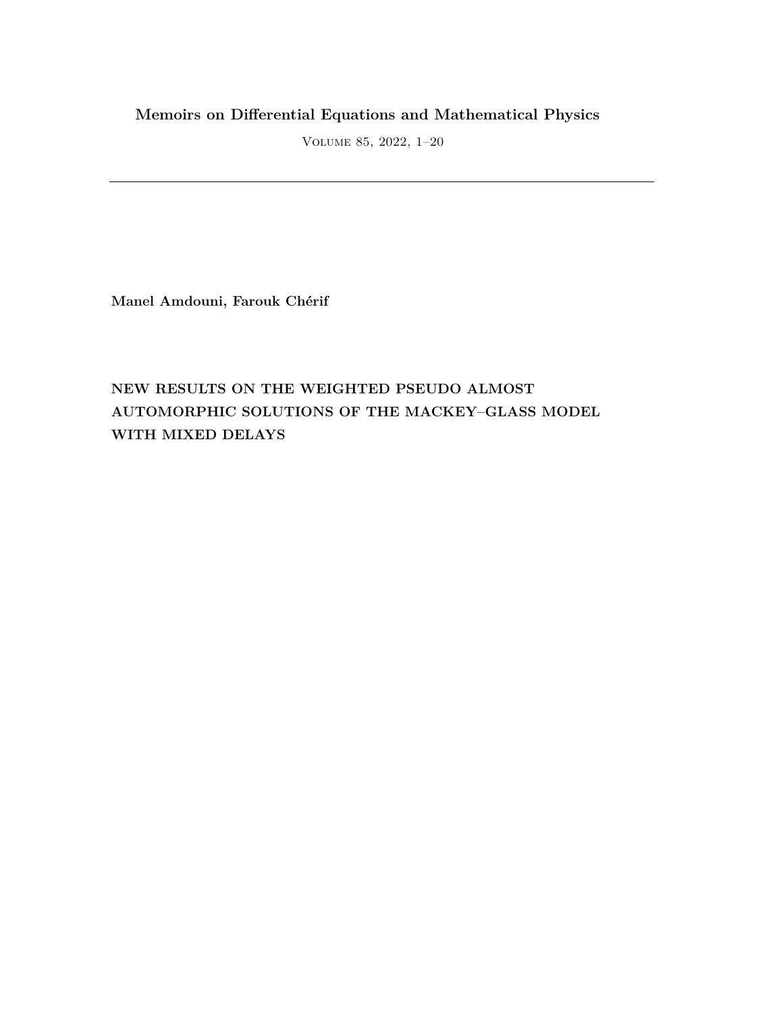## **Memoirs on Differential Equations and Mathematical Physics**

Volume 85, 2022, 1–20

**Manel Amdouni, Farouk Chérif**

# **NEW RESULTS ON THE WEIGHTED PSEUDO ALMOST AUTOMORPHIC SOLUTIONS OF THE MACKEY–GLASS MODEL WITH MIXED DELAYS**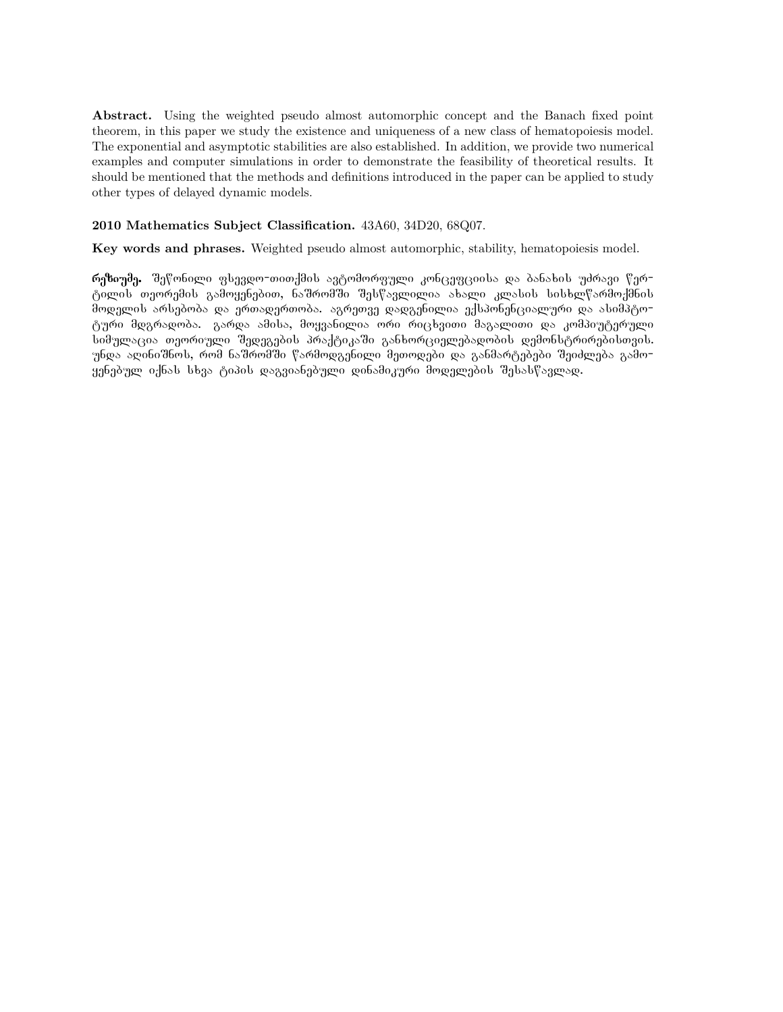**Abstract.** Using the weighted pseudo almost automorphic concept and the Banach fixed point theorem, in this paper we study the existence and uniqueness of a new class of hematopoiesis model. The exponential and asymptotic stabilities are also established. In addition, we provide two numerical examples and computer simulations in order to demonstrate the feasibility of theoretical results. It should be mentioned that the methods and definitions introduced in the paper can be applied to study other types of delayed dynamic models.

#### **2010 Mathematics Subject Classification.** 43A60, 34D20, 68Q07.

**Key words and phrases.** Weighted pseudo almost automorphic, stability, hematopoiesis model.

\_\_**რეზიუმე.** შეწონილი ფსევდო−თითქმის ავტომორფული კონცეფციისა და ბანახის უძრავი წერ− ტილის თეორემის გამოყენებით, ნაშრომში შესწავლილია ახალი კლასის სისხლწარმოქმნის <del>მოდელ</del>ის არსებობა და ერთადერთობა. აგრეთვე დადგენილია ექსპონენციალური და ასიმპტოტური მდგრადობა. გარდა ამისა, მოყვანილია ორი რიცხვითი მაგალითი და კომპიუტერული Նიმულაცია თეორიული შედეგების პრაქტიკაში განხორციელებადობის დემონსტრირებისთვის. უნდა აღინიშნოს, რომ ნაშრომში წარმოდგენილი მეთოდები და განმარტებები შეიძლება გამო− ყენებულ იქნას სხვა ტიპის დაგვიანებული დინამიკური მოდელების შესასწავლად.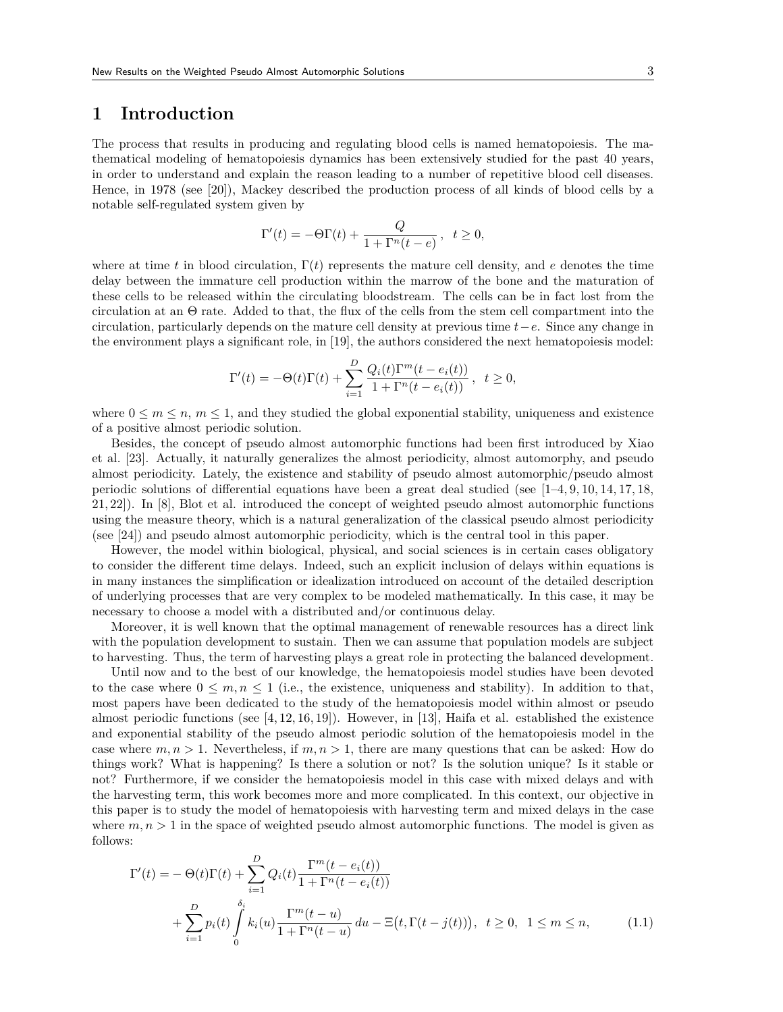### **1 Introduction**

The process that results in producing and regulating blood cells is named hematopoiesis. The mathematical modeling of hematopoiesis dynamics has been extensively studied for the past 40 years, in order to understand and explain the reason leading to a number of repetitive blood cell diseases. Hence, in 1978 (see [20]), Mackey described the production process of all kinds of blood cells by a notable self-regulated system given by

$$
\Gamma'(t) = -\Theta \Gamma(t) + \frac{Q}{1 + \Gamma^n(t - e)}, \ \ t \ge 0,
$$

where at time *t* in blood circulation,  $\Gamma(t)$  represents the mature cell density, and *e* denotes the time delay between the immature cell production within the marrow of the bone and the maturation of these cells to be released within the circulating bloodstream. The cells can be in fact lost from the circulation at an Θ rate. Added to that, the flux of the cells from the stem cell compartment into the circulation, particularly depends on the mature cell density at previous time *t−e*. Since any change in the environment plays a significant role, in [19], the authors considered the next hematopoiesis model:

$$
\Gamma'(t) = -\Theta(t)\Gamma(t) + \sum_{i=1}^{D} \frac{Q_i(t)\Gamma^m(t - e_i(t))}{1 + \Gamma^n(t - e_i(t))}, \quad t \ge 0,
$$

where  $0 \leq m \leq n$ ,  $m \leq 1$ , and they studied the global exponential stability, uniqueness and existence of a positive almost periodic solution.

Besides, the concept of pseudo almost automorphic functions had been first introduced by Xiao et al. [23]. Actually, it naturally generalizes the almost periodicity, almost automorphy, and pseudo almost periodicity. Lately, the existence and stability of pseudo almost automorphic/pseudo almost periodic solutions of differential equations have been a great deal studied (see [1–4, 9, 10, 14, 17, 18, 21, 22]). In [8], Blot et al. introduced the concept of weighted pseudo almost automorphic functions using the measure theory, which is a natural generalization of the classical pseudo almost periodicity (see [24]) and pseudo almost automorphic periodicity, which is the central tool in this paper.

However, the model within biological, physical, and social sciences is in certain cases obligatory to consider the different time delays. Indeed, such an explicit inclusion of delays within equations is in many instances the simplification or idealization introduced on account of the detailed description of underlying processes that are very complex to be modeled mathematically. In this case, it may be necessary to choose a model with a distributed and/or continuous delay.

Moreover, it is well known that the optimal management of renewable resources has a direct link with the population development to sustain. Then we can assume that population models are subject to harvesting. Thus, the term of harvesting plays a great role in protecting the balanced development.

Until now and to the best of our knowledge, the hematopoiesis model studies have been devoted to the case where  $0 \leq m, n \leq 1$  (i.e., the existence, uniqueness and stability). In addition to that, most papers have been dedicated to the study of the hematopoiesis model within almost or pseudo almost periodic functions (see  $[4, 12, 16, 19]$ ). However, in [13], Haifa et al. established the existence and exponential stability of the pseudo almost periodic solution of the hematopoiesis model in the case where  $m, n > 1$ . Nevertheless, if  $m, n > 1$ , there are many questions that can be asked: How do things work? What is happening? Is there a solution or not? Is the solution unique? Is it stable or not? Furthermore, if we consider the hematopoiesis model in this case with mixed delays and with the harvesting term, this work becomes more and more complicated. In this context, our objective in this paper is to study the model of hematopoiesis with harvesting term and mixed delays in the case where  $m, n > 1$  in the space of weighted pseudo almost automorphic functions. The model is given as follows:

$$
\Gamma'(t) = -\Theta(t)\Gamma(t) + \sum_{i=1}^{D} Q_i(t) \frac{\Gamma^m(t - e_i(t))}{1 + \Gamma^n(t - e_i(t))} \n+ \sum_{i=1}^{D} p_i(t) \int_0^{\delta_i} k_i(u) \frac{\Gamma^m(t - u)}{1 + \Gamma^n(t - u)} du - \Xi(t, \Gamma(t - j(t))), \ t \ge 0, \ 1 \le m \le n,
$$
\n(1.1)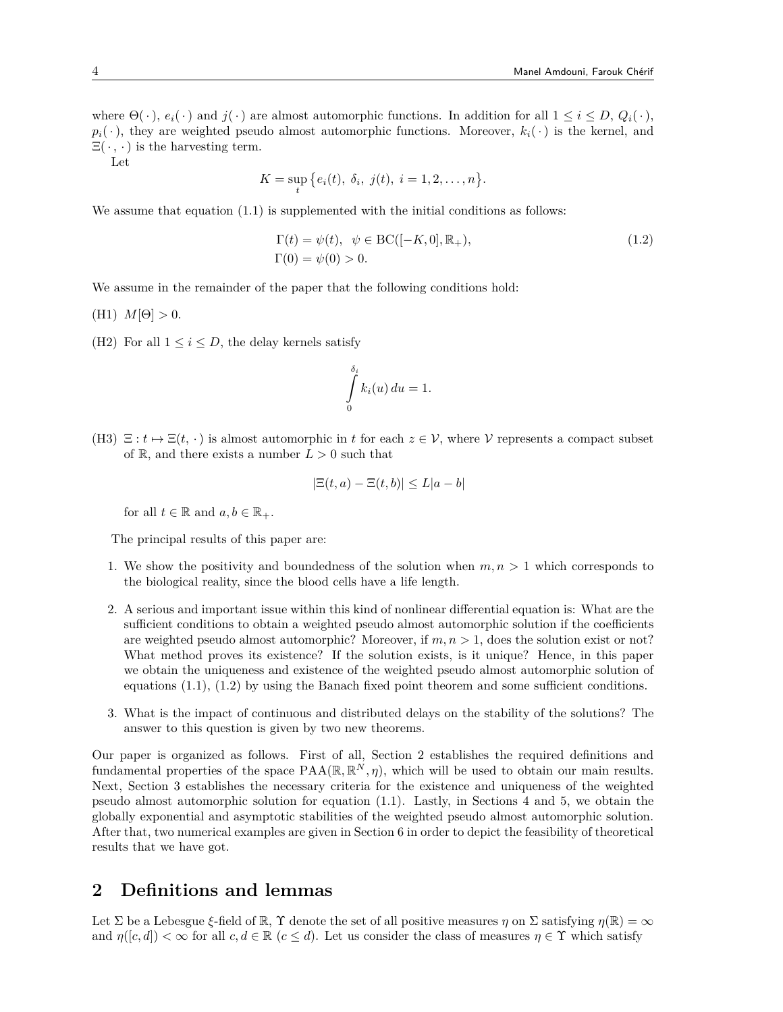where  $\Theta(\cdot)$ ,  $e_i(\cdot)$  and  $j(\cdot)$  are almost automorphic functions. In addition for all  $1 \leq i \leq D$ ,  $Q_i(\cdot)$ ,  $p_i(\cdot)$ , they are weighted pseudo almost automorphic functions. Moreover,  $k_i(\cdot)$  is the kernel, and  $\Xi(\cdot,\cdot)$  is the harvesting term.

Let

$$
K = \sup_{t} \big\{ e_i(t), \ \delta_i, \ j(t), \ i = 1, 2, \dots, n \big\}.
$$

We assume that equation  $(1.1)$  is supplemented with the initial conditions as follows:

$$
\Gamma(t) = \psi(t), \ \psi \in BC([-K, 0], \mathbb{R}_+), \n\Gamma(0) = \psi(0) > 0.
$$
\n(1.2)

We assume in the remainder of the paper that the following conditions hold:

- (H1)  $M[\Theta] > 0$ .
- (H2) For all  $1 \leq i \leq D$ , the delay kernels satisfy

$$
\int\limits_{0}^{\delta_{i}}k_{i}(u)\,du=1.
$$

(H3)  $\Xi: t \mapsto \Xi(t, \cdot)$  is almost automorphic in t for each  $z \in V$ , where V represents a compact subset of  $\mathbb{R}$ , and there exists a number  $L > 0$  such that

$$
|\Xi(t, a) - \Xi(t, b)| \le L|a - b|
$$

for all  $t \in \mathbb{R}$  and  $a, b \in \mathbb{R}_+$ .

The principal results of this paper are:

- 1. We show the positivity and boundedness of the solution when  $m, n > 1$  which corresponds to the biological reality, since the blood cells have a life length.
- 2. A serious and important issue within this kind of nonlinear differential equation is: What are the sufficient conditions to obtain a weighted pseudo almost automorphic solution if the coefficients are weighted pseudo almost automorphic? Moreover, if *m, n >* 1, does the solution exist or not? What method proves its existence? If the solution exists, is it unique? Hence, in this paper we obtain the uniqueness and existence of the weighted pseudo almost automorphic solution of equations (1.1), (1.2) by using the Banach fixed point theorem and some sufficient conditions.
- 3. What is the impact of continuous and distributed delays on the stability of the solutions? The answer to this question is given by two new theorems.

Our paper is organized as follows. First of all, Section 2 establishes the required definitions and fundamental properties of the space  $PAA(\mathbb{R}, \mathbb{R}^N, \eta)$ , which will be used to obtain our main results. Next, Section 3 establishes the necessary criteria for the existence and uniqueness of the weighted pseudo almost automorphic solution for equation (1.1). Lastly, in Sections 4 and 5, we obtain the globally exponential and asymptotic stabilities of the weighted pseudo almost automorphic solution. After that, two numerical examples are given in Section 6 in order to depict the feasibility of theoretical results that we have got.

### **2 Definitions and lemmas**

Let  $\Sigma$  be a Lebesgue  $\xi$ -field of  $\mathbb{R}$ ,  $\Upsilon$  denote the set of all positive measures  $\eta$  on  $\Sigma$  satisfying  $\eta(\mathbb{R}) = \infty$ and  $\eta([c, d]) < \infty$  for all  $c, d \in \mathbb{R}$  ( $c \leq d$ ). Let us consider the class of measures  $\eta \in \Upsilon$  which satisfy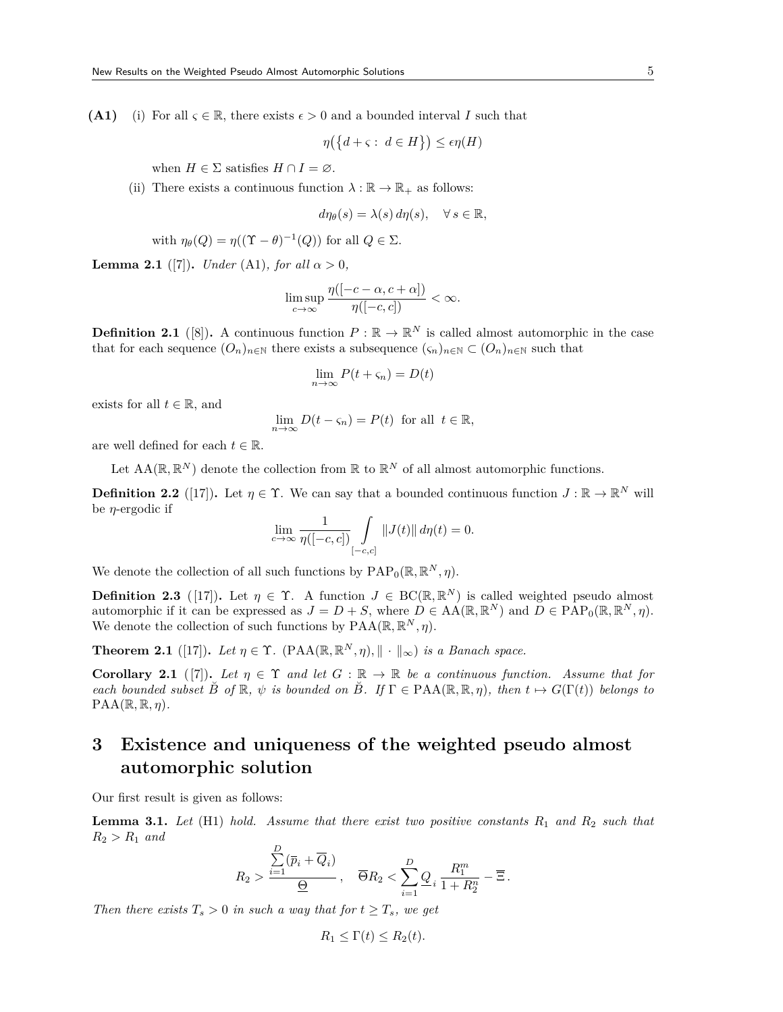**(A1)** (i) For all  $\varsigma \in \mathbb{R}$ , there exists  $\epsilon > 0$  and a bounded interval *I* such that

$$
\eta\big(\big\{d + \varsigma : d \in H\big\}\big) \le \epsilon \eta(H)
$$

when  $H \in \Sigma$  satisfies  $H \cap I = \varnothing$ .

(ii) There exists a continuous function  $\lambda : \mathbb{R} \to \mathbb{R}_+$  as follows:

$$
d\eta_{\theta}(s) = \lambda(s) d\eta(s), \quad \forall s \in \mathbb{R},
$$

with 
$$
\eta_{\theta}(Q) = \eta((\Upsilon - \theta)^{-1}(Q))
$$
 for all  $Q \in \Sigma$ .

**Lemma 2.1** ([7]). *Under* (A1)*, for all*  $\alpha > 0$ *,* 

$$
\limsup_{c \to \infty} \frac{\eta([-c - \alpha, c + \alpha])}{\eta([-c, c])} < \infty.
$$

**Definition 2.1** ([8]). A continuous function  $P : \mathbb{R} \to \mathbb{R}^N$  is called almost automorphic in the case that for each sequence  $(O_n)_{n \in \mathbb{N}}$  there exists a subsequence  $(\zeta_n)_{n \in \mathbb{N}} \subset (O_n)_{n \in \mathbb{N}}$  such that

$$
\lim_{n \to \infty} P(t + \varsigma_n) = D(t)
$$

exists for all  $t \in \mathbb{R}$ , and

$$
\lim_{n \to \infty} D(t - \varsigma_n) = P(t) \text{ for all } t \in \mathbb{R},
$$

are well defined for each  $t \in \mathbb{R}$ .

Let  $AA(\mathbb{R}, \mathbb{R}^N)$  denote the collection from  $\mathbb{R}$  to  $\mathbb{R}^N$  of all almost automorphic functions.

**Definition 2.2** ([17]). Let  $\eta \in \Upsilon$ . We can say that a bounded continuous function  $J : \mathbb{R} \to \mathbb{R}^N$  will be *η*-ergodic if

$$
\lim_{c \to \infty} \frac{1}{\eta([-c, c])} \int\limits_{[-c, c]} \|J(t)\| d\eta(t) = 0.
$$

We denote the collection of all such functions by  $\text{PAP}_0(\mathbb{R}, \mathbb{R}^N, \eta)$ .

**Definition 2.3** ([17]). Let  $\eta \in \Upsilon$ . A function  $J \in BC(\mathbb{R}, \mathbb{R}^N)$  is called weighted pseudo almost automorphic if it can be expressed as  $J = D + S$ , where  $D \in AA(\mathbb{R}, \mathbb{R}^N)$  and  $D \in \text{PAP}_0(\mathbb{R}, \mathbb{R}^N, \eta)$ . We denote the collection of such functions by  $\text{PAA}(\mathbb{R}, \mathbb{R}^N, \eta)$ .

**Theorem 2.1** ([17]). Let  $\eta \in \Upsilon$ . (PAA( $\mathbb{R}, \mathbb{R}^N, \eta$ ),  $\|\cdot\|_{\infty}$ ) is a Banach space.

**Corollary 2.1** ([7]). Let  $\eta \in \Upsilon$  and let  $G : \mathbb{R} \to \mathbb{R}$  be a continuous function. Assume that for *each bounded subset*  $\check{B}$  *of*  $\mathbb{R}$ *,*  $\psi$  *is bounded on*  $\check{B}$ *. If*  $\Gamma \in \text{PAA}(\mathbb{R}, \mathbb{R}, \eta)$ *, then*  $t \mapsto G(\Gamma(t))$  *belongs to*  $\text{PAA}(\mathbb{R}, \mathbb{R}, \eta)$ .

## **3 Existence and uniqueness of the weighted pseudo almost automorphic solution**

Our first result is given as follows:

**Lemma 3.1.** *Let* (H1) *hold. Assume that there exist two positive constants R*<sup>1</sup> *and R*<sup>2</sup> *such that*  $R_2 > R_1$  *and* 

$$
R_2 > \frac{\sum\limits_{i=1}^D (\overline{p}_i + \overline{Q}_i)}{\underline{\Theta}}, \quad \overline{\Theta} R_2 < \sum\limits_{i=1}^D \underline{Q}_i \frac{R_1^m}{1 + R_2^n} - \overline{\Xi} \, .
$$

*Then there exists*  $T_s > 0$  *in such a way that for*  $t \geq T_s$ *, we get* 

$$
R_1 \leq \Gamma(t) \leq R_2(t).
$$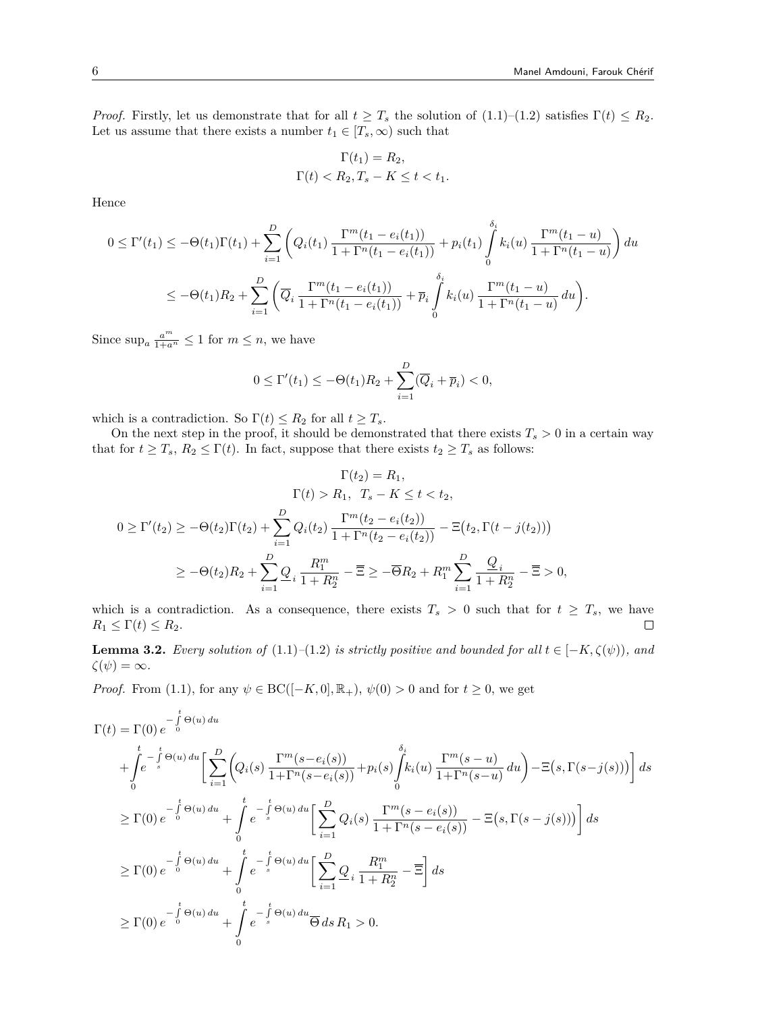*Proof.* Firstly, let us demonstrate that for all  $t \geq T_s$  the solution of (1.1)–(1.2) satisfies  $\Gamma(t) \leq R_2$ . Let us assume that there exists a number  $t_1 \in [T_s, \infty)$  such that

$$
\Gamma(t_1) = R_2,
$$
  

$$
\Gamma(t) < R_2, T_s - K \le t < t_1.
$$

Hence

$$
0 \leq \Gamma'(t_1) \leq -\Theta(t_1)\Gamma(t_1) + \sum_{i=1}^D \left( Q_i(t_1) \frac{\Gamma^m(t_1 - e_i(t_1))}{1 + \Gamma^n(t_1 - e_i(t_1))} + p_i(t_1) \int_0^{\delta_i} k_i(u) \frac{\Gamma^m(t_1 - u)}{1 + \Gamma^n(t_1 - u)} \right) du
$$
  

$$
\leq -\Theta(t_1)R_2 + \sum_{i=1}^D \left( \overline{Q}_i \frac{\Gamma^m(t_1 - e_i(t_1))}{1 + \Gamma^n(t_1 - e_i(t_1))} + \overline{p}_i \int_0^{\delta_i} k_i(u) \frac{\Gamma^m(t_1 - u)}{1 + \Gamma^n(t_1 - u)} du \right).
$$

Since  $\sup_a \frac{a^m}{1+a^n} \leq 1$  for  $m \leq n$ , we have

$$
0 \le \Gamma'(t_1) \le -\Theta(t_1)R_2 + \sum_{i=1}^{D} (\overline{Q}_i + \overline{p}_i) < 0,
$$

which is a contradiction. So  $\Gamma(t) \leq R_2$  for all  $t \geq T_s$ .

On the next step in the proof, it should be demonstrated that there exists  $T_s > 0$  in a certain way that for  $t \geq T_s$ ,  $R_2 \leq \Gamma(t)$ . In fact, suppose that there exists  $t_2 \geq T_s$  as follows:

$$
\Gamma(t_2) = R_1,
$$
  
\n
$$
\Gamma(t) > R_1, T_s - K \le t < t_2,
$$
  
\n
$$
0 \ge \Gamma'(t_2) \ge -\Theta(t_2)\Gamma(t_2) + \sum_{i=1}^{D} Q_i(t_2) \frac{\Gamma^m(t_2 - e_i(t_2))}{1 + \Gamma^n(t_2 - e_i(t_2))} - \Xi(t_2, \Gamma(t - j(t_2)))
$$
  
\n
$$
\ge -\Theta(t_2)R_2 + \sum_{i=1}^{D} \underline{Q}_i \frac{R_1^m}{1 + R_2^m} - \overline{\Xi} \ge -\overline{\Theta}R_2 + R_1^m \sum_{i=1}^{D} \frac{\underline{Q}_i}{1 + R_2^m} - \overline{\Xi} > 0,
$$

which is a contradiction. As a consequence, there exists  $T_s > 0$  such that for  $t \geq T_s$ , we have  $R_1 \leq \Gamma(t) \leq R_2.$  $\Box$ 

**Lemma 3.2.** *Every solution of*  $(1.1)$ *–* $(1.2)$  *is strictly positive and bounded for all*  $t \in [-K, \zeta(\psi))$ *, and*  $ζ(ψ) = ∞.$ 

*Proof.* From (1.1), for any  $\psi \in BC([-K, 0], \mathbb{R}_+)$ ,  $\psi(0) > 0$  and for  $t \geq 0$ , we get

$$
\Gamma(t) = \Gamma(0) e^{-\int_{0}^{t} \Theta(u) du} + \int_{0}^{t} e^{-\int_{s}^{t} \Theta(u) du} \left[ \sum_{i=1}^{D} \left( Q_{i}(s) \frac{\Gamma^{m}(s - e_{i}(s))}{1 + \Gamma^{n}(s - e_{i}(s))} + p_{i}(s) \int_{0}^{\delta_{i}} k_{i}(u) \frac{\Gamma^{m}(s - u)}{1 + \Gamma^{n}(s - u)} du \right) - \Xi(s, \Gamma(s - j(s))) \right] ds
$$
  
\n
$$
\geq \Gamma(0) e^{-\int_{0}^{t} \Theta(u) du} + \int_{0}^{t} e^{-\int_{s}^{t} \Theta(u) du} \left[ \sum_{i=1}^{D} Q_{i}(s) \frac{\Gamma^{m}(s - e_{i}(s))}{1 + \Gamma^{n}(s - e_{i}(s))} - \Xi(s, \Gamma(s - j(s))) \right] ds
$$
  
\n
$$
\geq \Gamma(0) e^{-\int_{0}^{t} \Theta(u) du} + \int_{0}^{t} e^{-\int_{s}^{t} \Theta(u) du} \left[ \sum_{i=1}^{D} Q_{i} \frac{R_{1}^{m}}{1 + R_{2}^{n}} - \overline{\Xi} \right] ds
$$
  
\n
$$
\geq \Gamma(0) e^{-\int_{0}^{t} \Theta(u) du} + \int_{0}^{t} e^{-\int_{s}^{t} \Theta(u) du} \overline{\Theta} ds R_{1} > 0.
$$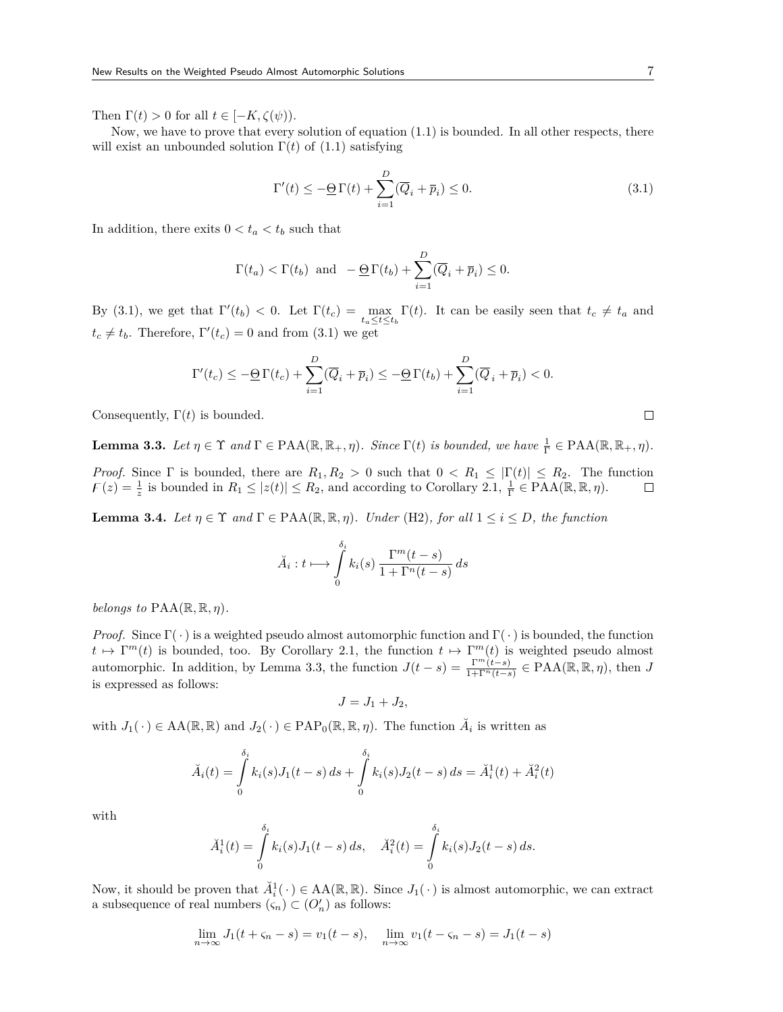Then  $\Gamma(t) > 0$  for all  $t \in [-K, \zeta(\psi)).$ 

Now, we have to prove that every solution of equation (1.1) is bounded. In all other respects, there will exist an unbounded solution  $\Gamma(t)$  of (1.1) satisfying

$$
\Gamma'(t) \le -\underline{\Theta} \Gamma(t) + \sum_{i=1}^{D} (\overline{Q}_i + \overline{p}_i) \le 0.
$$
\n(3.1)

In addition, there exits  $0 < t_a < t_b$  such that

$$
\Gamma(t_a) < \Gamma(t_b)
$$
 and  $-\underline{\Theta} \Gamma(t_b) + \sum_{i=1}^D (\overline{Q}_i + \overline{p}_i) \leq 0.$ 

By (3.1), we get that  $\Gamma'(t_b) < 0$ . Let  $\Gamma(t_c) = \max_{t_a \le t \le t_b} \Gamma(t)$ . It can be easily seen that  $t_c \ne t_a$  and  $t_c \neq t_b$ . Therefore,  $\Gamma'(t_c) = 0$  and from (3.1) we get

$$
\Gamma'(t_c) \le -\underline{\Theta}\,\Gamma(t_c) + \sum_{i=1}^D (\overline{Q}_i + \overline{p}_i) \le -\underline{\Theta}\,\Gamma(t_b) + \sum_{i=1}^D (\overline{Q}_i + \overline{p}_i) < 0.
$$

Consequently,  $\Gamma(t)$  is bounded.

**Lemma 3.3.** *Let*  $\eta \in \Upsilon$  *and*  $\Gamma \in \text{PAA}(\mathbb{R}, \mathbb{R}_+, \eta)$ *. Since*  $\Gamma(t)$  *is bounded, we have*  $\frac{1}{\Gamma} \in \text{PAA}(\mathbb{R}, \mathbb{R}_+, \eta)$ *.* 

*Proof.* Since  $\Gamma$  is bounded, there are  $R_1, R_2 > 0$  such that  $0 < R_1 \leq |\Gamma(t)| \leq R_2$ . The function  $F(z) = \frac{1}{z}$  is bounded in  $R_1 \leq |z(t)| \leq R_2$ , and according to Corollary 2.1,  $\frac{1}{\Gamma} \in \text{PAA}(\mathbb{R}, \mathbb{R}, \eta)$ . □

**Lemma 3.4.** *Let*  $\eta \in \Upsilon$  *and*  $\Gamma \in \text{PAA}(\mathbb{R}, \mathbb{R}, \eta)$ *. Under* (H2)*, for all*  $1 \leq i \leq D$ *, the function* 

$$
\breve{A}_i: t \longmapsto \int\limits_0^{\delta_i} k_i(s) \, \frac{\Gamma^m(t-s)}{1+\Gamma^n(t-s)} \, ds
$$

*belongs to*  $\text{PAA}(\mathbb{R}, \mathbb{R}, \eta)$ *.* 

*Proof.* Since  $\Gamma(\cdot)$  is a weighted pseudo almost automorphic function and  $\Gamma(\cdot)$  is bounded, the function  $t \mapsto \Gamma^{m}(t)$  is bounded, too. By Corollary 2.1, the function  $t \mapsto \Gamma^{m}(t)$  is weighted pseudo almost automorphic. In addition, by Lemma 3.3, the function  $J(t-s) = \frac{\Gamma^m(t-s)}{1+\Gamma^n(t-s)} \in \text{PAA}(\mathbb{R}, \mathbb{R}, \eta)$ , then *J* is expressed as follows:

$$
J = J_1 + J_2,
$$

with  $J_1(\cdot) \in AA(\mathbb{R}, \mathbb{R})$  and  $J_2(\cdot) \in \text{PAP}_0(\mathbb{R}, \mathbb{R}, \eta)$ . The function  $\check{A}_i$  is written as

$$
\breve{A}_i(t) = \int_0^{\delta_i} k_i(s) J_1(t-s) \, ds + \int_0^{\delta_i} k_i(s) J_2(t-s) \, ds = \breve{A}_i^1(t) + \breve{A}_i^2(t)
$$

with

$$
\breve{A}_i^1(t) = \int_0^{\delta_i} k_i(s) J_1(t-s) \, ds, \quad \breve{A}_i^2(t) = \int_0^{\delta_i} k_i(s) J_2(t-s) \, ds.
$$

Now, it should be proven that  $\check{A}_i^1(\cdot) \in AA(\mathbb{R}, \mathbb{R})$ . Since  $J_1(\cdot)$  is almost automorphic, we can extract a subsequence of real numbers  $(\varsigma_n) \subset (O'_n)$  as follows:

$$
\lim_{n \to \infty} J_1(t + \varsigma_n - s) = v_1(t - s), \quad \lim_{n \to \infty} v_1(t - \varsigma_n - s) = J_1(t - s)
$$

 $\Box$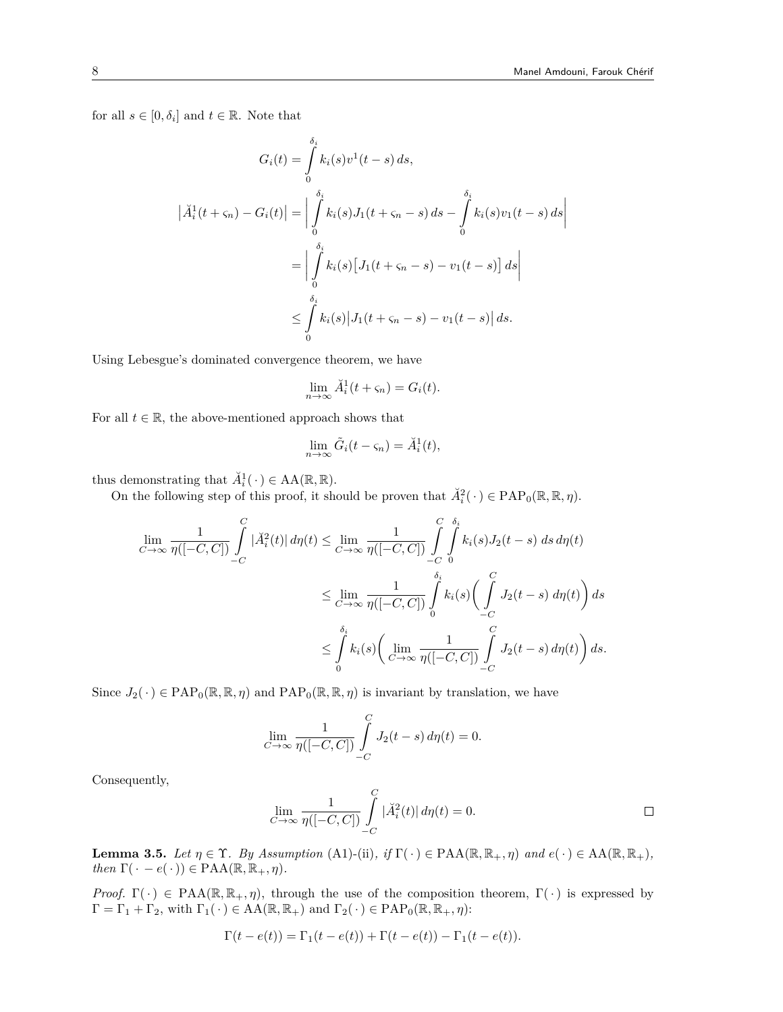for all  $s \in [0, \delta_i]$  and  $t \in \mathbb{R}$ . Note that

$$
G_i(t) = \int_0^{\delta_i} k_i(s)v^1(t-s) ds,
$$
  
\n
$$
|\breve{A}_i^1(t + \varsigma_n) - G_i(t)| = \left| \int_0^{\delta_i} k_i(s)J_1(t + \varsigma_n - s) ds - \int_0^{\delta_i} k_i(s)v_1(t - s) ds \right|
$$
  
\n
$$
= \left| \int_0^{\delta_i} k_i(s) [J_1(t + \varsigma_n - s) - v_1(t - s)] ds \right|
$$
  
\n
$$
\leq \int_0^{\delta_i} k_i(s) |J_1(t + \varsigma_n - s) - v_1(t - s)| ds.
$$

Using Lebesgue's dominated convergence theorem, we have

$$
\lim_{n \to \infty} \breve{A}_i^1(t + \varsigma_n) = G_i(t).
$$

For all  $t \in \mathbb{R}$ , the above-mentioned approach shows that

$$
\lim_{n \to \infty} \tilde{G}_i(t - \varsigma_n) = \breve{A}_i^1(t),
$$

thus demonstrating that  $\check{A}_i^1(\cdot) \in \text{AA}(\mathbb{R}, \mathbb{R})$ .

On the following step of this proof, it should be proven that  $\check{A}_i^2(\cdot) \in \text{PAP}_0(\mathbb{R}, \mathbb{R}, \eta)$ .

$$
\lim_{C \to \infty} \frac{1}{\eta([-C, C])} \int_{-C}^{C} |\breve{A}_{i}^{2}(t)| d\eta(t) \leq \lim_{C \to \infty} \frac{1}{\eta([-C, C])} \int_{-C}^{C} \int_{0}^{\delta_{i}} k_{i}(s) J_{2}(t - s) ds d\eta(t)
$$
\n
$$
\leq \lim_{C \to \infty} \frac{1}{\eta([-C, C])} \int_{0}^{\delta_{i}} k_{i}(s) \left(\int_{-C}^{C} J_{2}(t - s) d\eta(t)\right) ds
$$
\n
$$
\leq \int_{0}^{\delta_{i}} k_{i}(s) \left(\lim_{C \to \infty} \frac{1}{\eta([-C, C])} \int_{-C}^{C} J_{2}(t - s) d\eta(t)\right) ds.
$$

Since  $J_2(\cdot) \in \text{PAP}_0(\mathbb{R}, \mathbb{R}, \eta)$  and  $\text{PAP}_0(\mathbb{R}, \mathbb{R}, \eta)$  is invariant by translation, we have

$$
\lim_{C \to \infty} \frac{1}{\eta([-C, C])} \int_{-C}^{C} J_2(t - s) d\eta(t) = 0.
$$

Consequently,

$$
\lim_{C \to \infty} \frac{1}{\eta([-C, C])} \int_{-C}^{C} |\breve{A}_i^2(t)| d\eta(t) = 0.
$$

**Lemma 3.5.** *Let*  $\eta \in \Upsilon$ *. By Assumption* (A1)-(ii)*, if*  $\Gamma(\cdot) \in \text{PAA}(\mathbb{R}, \mathbb{R}_+, \eta)$  *and*  $e(\cdot) \in \text{AA}(\mathbb{R}, \mathbb{R}_+),$  $then \Gamma(\cdot - e(\cdot)) \in \text{PAA}(\mathbb{R}, \mathbb{R}_+, \eta).$ 

*Proof.*  $\Gamma(\cdot) \in \text{PAA}(\mathbb{R}, \mathbb{R}_+, \eta)$ , through the use of the composition theorem,  $\Gamma(\cdot)$  is expressed by  $\Gamma = \Gamma_1 + \Gamma_2$ , with  $\Gamma_1(\cdot) \in AA(\mathbb{R}, \mathbb{R}_+)$  and  $\Gamma_2(\cdot) \in PAP_0(\mathbb{R}, \mathbb{R}_+, \eta)$ :

$$
\Gamma(t - e(t)) = \Gamma_1(t - e(t)) + \Gamma(t - e(t)) - \Gamma_1(t - e(t)).
$$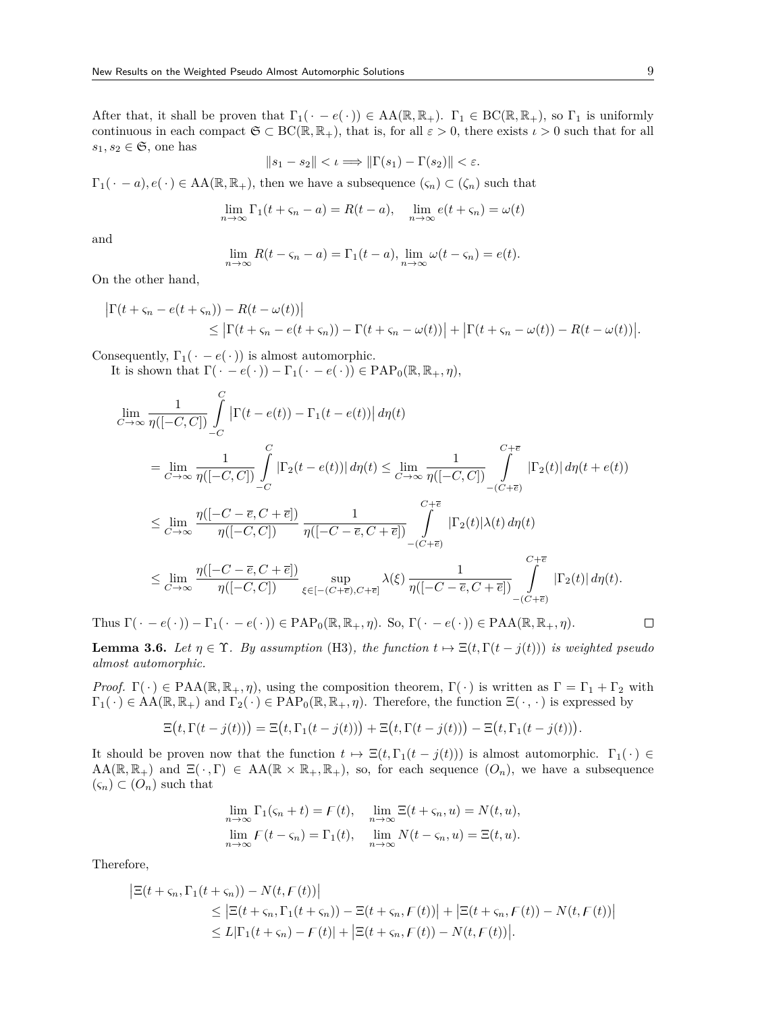After that, it shall be proven that  $\Gamma_1(\cdot - e(\cdot)) \in AA(\mathbb{R}, \mathbb{R}_+)$ .  $\Gamma_1 \in BC(\mathbb{R}, \mathbb{R}_+)$ , so  $\Gamma_1$  is uniformly continuous in each compact  $\mathfrak{S} \subset BC(\mathbb{R}, \mathbb{R}_+)$ , that is, for all  $\varepsilon > 0$ , there exists  $\iota > 0$  such that for all  $s_1, s_2 \in \mathfrak{S}$ , one has

$$
||s_1 - s_2|| < \iota \Longrightarrow ||\Gamma(s_1) - \Gamma(s_2)|| < \varepsilon.
$$

 $\Gamma_1(\cdot - a), e(\cdot) \in AA(\mathbb{R}, \mathbb{R}_+),$  then we have a subsequence  $(\varsigma_n) \subset (\zeta_n)$  such that

$$
\lim_{n \to \infty} \Gamma_1(t + \varsigma_n - a) = R(t - a), \quad \lim_{n \to \infty} e(t + \varsigma_n) = \omega(t)
$$

and

$$
\lim_{n \to \infty} R(t - \varsigma_n - a) = \Gamma_1(t - a), \lim_{n \to \infty} \omega(t - \varsigma_n) = e(t).
$$

On the other hand,

$$
\begin{aligned} \left| \Gamma(t+\varsigma_n - e(t+\varsigma_n)) - R(t-\omega(t)) \right| \\ &\leq \left| \Gamma(t+\varsigma_n - e(t+\varsigma_n)) - \Gamma(t+\varsigma_n - \omega(t)) \right| + \left| \Gamma(t+\varsigma_n - \omega(t)) - R(t-\omega(t)) \right| . \end{aligned}
$$

Consequently,  $\Gamma_1(\cdot - e(\cdot))$  is almost automorphic.

It is shown that  $\Gamma(\cdot - e(\cdot)) - \Gamma_1(\cdot - e(\cdot)) \in \text{PAP}_0(\mathbb{R}, \mathbb{R}_+, \eta)$ ,

$$
\lim_{C \to \infty} \frac{1}{\eta([-C, C])} \int_{-C}^{C} \left| \Gamma(t - e(t)) - \Gamma_1(t - e(t)) \right| d\eta(t)
$$
\n
$$
= \lim_{C \to \infty} \frac{1}{\eta([-C, C])} \int_{-C}^{C} \left| \Gamma_2(t - e(t)) \right| d\eta(t) \leq \lim_{C \to \infty} \frac{1}{\eta([-C, C])} \int_{- (C + \overline{e})}^{C + \overline{e}} \left| \Gamma_2(t) \right| d\eta(t + e(t))
$$
\n
$$
\leq \lim_{C \to \infty} \frac{\eta([-C - \overline{e}, C + \overline{e}])}{\eta([-C, C])} \frac{1}{\eta([-C - \overline{e}, C + \overline{e}])} \int_{- (C + \overline{e})}^{C + \overline{e}} \left| \Gamma_2(t) \right| \lambda(t) d\eta(t)
$$
\n
$$
\leq \lim_{C \to \infty} \frac{\eta([-C - \overline{e}, C + \overline{e}])}{\eta([-C, C])} \sup_{\xi \in [-(C + \overline{e}), C + \overline{e}]} \lambda(\xi) \frac{1}{\eta([-C - \overline{e}, C + \overline{e}])} \int_{- (C + \overline{e})}^{C + \overline{e}} \left| \Gamma_2(t) \right| d\eta(t).
$$

Thus  $\Gamma(\cdot - e(\cdot)) - \Gamma_1(\cdot - e(\cdot)) \in \text{PAP}_0(\mathbb{R}, \mathbb{R}_+, \eta)$ . So,  $\Gamma(\cdot - e(\cdot)) \in \text{PAA}(\mathbb{R}, \mathbb{R}_+, \eta)$ .

**Lemma 3.6.** *Let*  $\eta \in \Upsilon$ *. By assumption* (H3)*, the function*  $t \mapsto \Xi(t, \Gamma(t - j(t)))$  *is weighted pseudo almost automorphic.*

*Proof.*  $\Gamma(\cdot) \in \text{PAA}(\mathbb{R}, \mathbb{R}_+, \eta)$ , using the composition theorem,  $\Gamma(\cdot)$  is written as  $\Gamma = \Gamma_1 + \Gamma_2$  with  $\Gamma_1(\cdot) \in AA(\mathbb{R}, \mathbb{R}_+)$  and  $\Gamma_2(\cdot) \in PAP_0(\mathbb{R}, \mathbb{R}_+, \eta)$ . Therefore, the function  $\Xi(\cdot, \cdot)$  is expressed by

$$
\Xi(t,\Gamma(t-j(t))) = \Xi\big(t,\Gamma_1(t-j(t))\big) + \Xi\big(t,\Gamma(t-j(t))\big) - \Xi\big(t,\Gamma_1(t-j(t))\big).
$$

It should be proven now that the function  $t \mapsto \Xi(t, \Gamma_1(t - j(t)))$  is almost automorphic.  $\Gamma_1(\cdot) \in$  $AA(\mathbb{R}, \mathbb{R}_+)$  and  $\Xi(\cdot, \Gamma) \in AA(\mathbb{R} \times \mathbb{R}_+, \mathbb{R}_+)$ , so, for each sequence  $(O_n)$ , we have a subsequence  $(\varsigma_n) \subset (O_n)$  such that

$$
\lim_{n \to \infty} \Gamma_1(\varsigma_n + t) = F(t), \quad \lim_{n \to \infty} \Xi(t + \varsigma_n, u) = N(t, u),
$$
  

$$
\lim_{n \to \infty} F(t - \varsigma_n) = \Gamma_1(t), \quad \lim_{n \to \infty} N(t - \varsigma_n, u) = \Xi(t, u).
$$

Therefore,

$$
\begin{aligned} \left| \Xi(t+\varsigma_n, \Gamma_1(t+\varsigma_n)) - N(t, F(t)) \right| \\ &\leq \left| \Xi(t+\varsigma_n, \Gamma_1(t+\varsigma_n)) - \Xi(t+\varsigma_n, F(t)) \right| + \left| \Xi(t+\varsigma_n, F(t)) - N(t, F(t)) \right| \\ &\leq L |\Gamma_1(t+\varsigma_n) - F(t)| + \left| \Xi(t+\varsigma_n, F(t)) - N(t, F(t)) \right|. \end{aligned}
$$

 $\Box$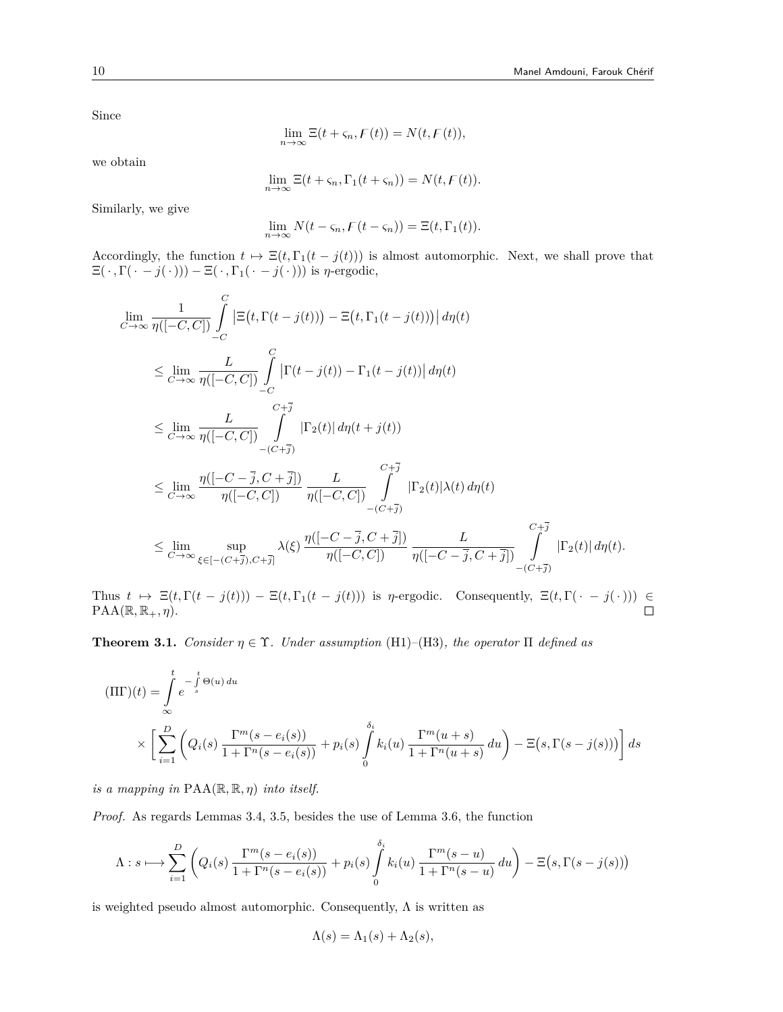Since

$$
\lim_{n \to \infty} \Xi(t + \varsigma_n, F(t)) = N(t, F(t)),
$$

we obtain

$$
\lim_{n \to \infty} \Xi(t + \varsigma_n, \Gamma_1(t + \varsigma_n)) = N(t, F(t)).
$$

Similarly, we give

$$
\lim_{n \to \infty} N(t - \varsigma_n, F(t - \varsigma_n)) = \Xi(t, \Gamma_1(t)).
$$

Accordingly, the function  $t \mapsto \Xi(t, \Gamma_1(t - j(t)))$  is almost automorphic. Next, we shall prove that  $\Xi(\cdot, \Gamma(\cdot - j(\cdot))) - \Xi(\cdot, \Gamma_1(\cdot - j(\cdot)))$  is  $\eta$ -ergodic,

$$
\lim_{C \to \infty} \frac{1}{\eta([-C, C])} \int_{-C}^{C} \left| \Xi(t, \Gamma(t - j(t))) - \Xi(t, \Gamma_1(t - j(t))) \right| d\eta(t)
$$
\n
$$
\leq \lim_{C \to \infty} \frac{L}{\eta([-C, C])} \int_{-C}^{C} \left| \Gamma(t - j(t)) - \Gamma_1(t - j(t)) \right| d\eta(t)
$$
\n
$$
\leq \lim_{C \to \infty} \frac{L}{\eta([-C, C])} \int_{-C}^{C + \overline{j}} \left| \Gamma_2(t) \right| d\eta(t + j(t))
$$
\n
$$
\leq \lim_{C \to \infty} \frac{\eta([-C - \overline{j}, C + \overline{j}])}{\eta([-C, C])} \int_{-C + \overline{j}}^{C + \overline{j}} \left| \Gamma_2(t) \right| \lambda(t) d\eta(t)
$$
\n
$$
\leq \lim_{C \to \infty} \sup_{\xi \in [-C + \overline{j}), C + \overline{j}} \lambda(\xi) \frac{\eta([-C - \overline{j}, C + \overline{j}])}{\eta([-C, C])} \int_{\eta([-C - \overline{j}, C + \overline{j}])}^{C + \overline{j}} \frac{L}{\eta([-C - \overline{j}, C + \overline{j}])} \int_{-C + \overline{j}}^{C + \overline{j}} \left| \Gamma_2(t) \right| d\eta(t).
$$

Thus  $t \mapsto \Xi(t, \Gamma(t-j(t))) - \Xi(t, \Gamma_1(t-j(t)))$  is *n*-ergodic. Consequently,  $\Xi(t, \Gamma(\cdot - j(\cdot))) \in \text{PAA}(\mathbb{R}, \mathbb{R}_+, n)$ .  $\text{PAA}(\mathbb{R}, \mathbb{R}_+, \eta).$ 

**Theorem 3.1.** *Consider*  $\eta \in \Upsilon$ *. Under assumption* (H1)–(H3)*, the operator*  $\Pi$  *defined as* 

$$
\begin{aligned} (\Pi \Gamma)(t) &= \int\limits_{-\infty}^t e^{-\int\limits_s^t \Theta(u) \, du} \\ & \times \left[ \sum\limits_{i=1}^D \left( Q_i(s) \, \frac{\Gamma^m(s - e_i(s))}{1 + \Gamma^n(s - e_i(s))} + p_i(s) \int\limits_0^{\delta_i} k_i(u) \, \frac{\Gamma^m(u+s)}{1 + \Gamma^n(u+s)} \, du \right) - \Xi\big(s, \Gamma(s - j(s))\big) \right] ds \end{aligned}
$$

*is a mapping in*  $\text{PAA}(\mathbb{R}, \mathbb{R}, \eta)$  *into itself.* 

*Proof.* As regards Lemmas 3.4, 3.5, besides the use of Lemma 3.6, the function

$$
\Lambda: s \longmapsto \sum_{i=1}^{D} \left(Q_i(s) \frac{\Gamma^m(s - e_i(s))}{1 + \Gamma^n(s - e_i(s))} + p_i(s) \int_0^{\delta_i} k_i(u) \frac{\Gamma^m(s - u)}{1 + \Gamma^n(s - u)} du\right) - \Xi(s, \Gamma(s - j(s)))
$$

is weighted pseudo almost automorphic. Consequently,  $\Lambda$  is written as

$$
\Lambda(s) = \Lambda_1(s) + \Lambda_2(s),
$$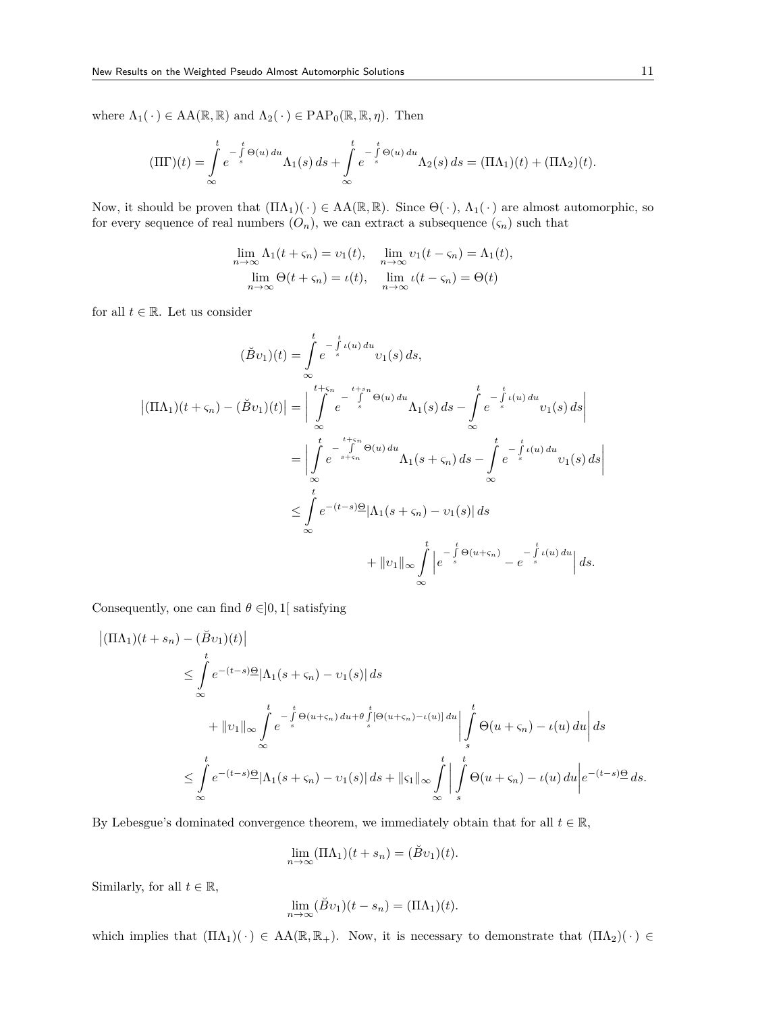where  $\Lambda_1(\cdot) \in AA(\mathbb{R}, \mathbb{R})$  and  $\Lambda_2(\cdot) \in PAP_0(\mathbb{R}, \mathbb{R}, \eta)$ . Then

$$
(\Pi\Gamma)(t) = \int_{\infty}^{t} e^{-\int_{s}^{t} \Theta(u) du} \Lambda_1(s) ds + \int_{\infty}^{t} e^{-\int_{s}^{t} \Theta(u) du} \Lambda_2(s) ds = (\Pi\Lambda_1)(t) + (\Pi\Lambda_2)(t).
$$

Now, it should be proven that  $(\Pi \Lambda_1)(\cdot) \in AA(\mathbb{R}, \mathbb{R})$ . Since  $\Theta(\cdot), \Lambda_1(\cdot)$  are almost automorphic, so for every sequence of real numbers  $(O_n)$ , we can extract a subsequence  $(\zeta_n)$  such that

$$
\lim_{n \to \infty} \Lambda_1(t + \varsigma_n) = v_1(t), \quad \lim_{n \to \infty} v_1(t - \varsigma_n) = \Lambda_1(t),
$$
  

$$
\lim_{n \to \infty} \Theta(t + \varsigma_n) = \iota(t), \quad \lim_{n \to \infty} \iota(t - \varsigma_n) = \Theta(t)
$$

for all  $t \in \mathbb{R}$ . Let us consider

$$
(\breve{B}v_{1})(t) = \int_{\infty}^{t} e^{-\int_{s}^{t} \iota(u) du} v_{1}(s) ds,
$$
  
\n
$$
|(\Pi \Lambda_{1})(t + \varsigma_{n}) - (\breve{B}v_{1})(t)| = \Big| \int_{\infty}^{t + \varsigma_{n}} e^{-\int_{s}^{t + s_{n}} \Theta(u) du} \Lambda_{1}(s) ds - \int_{\infty}^{t} e^{-\int_{s}^{t} \iota(u) du} v_{1}(s) ds \Big|
$$
  
\n
$$
= \Big| \int_{\infty}^{t} e^{-\int_{s + \varsigma_{n}}^{t + \varsigma_{n}} \Theta(u) du} \Lambda_{1}(s + \varsigma_{n}) ds - \int_{\infty}^{t} e^{-\int_{s}^{t} \iota(u) du} v_{1}(s) ds \Big|
$$
  
\n
$$
\leq \int_{\infty}^{t} e^{-(t - s) \Theta} |\Lambda_{1}(s + \varsigma_{n}) - v_{1}(s)| ds
$$
  
\n
$$
+ \|v_{1}\|_{\infty} \int_{\infty}^{t} \Big| e^{-\int_{s}^{t} \Theta(u + \varsigma_{n})} - e^{-\int_{s}^{t} \iota(u) du} \Big| ds.
$$

Consequently, one can find  $\theta \in ]0,1[$  satisfying

$$
\begin{split}\n\left| (\Pi \Lambda_1)(t+s_n) - (\breve{B}v_1)(t) \right| \\
&\leq \int_{0}^{t} e^{-(t-s)\underline{\Theta}} |\Lambda_1(s+\varsigma_n) - v_1(s)| ds \\
&+ \|v_1\|_{\infty} \int_{-\infty}^{t} e^{-\int_{s}^{t} \Theta(u+\varsigma_n) du + \theta \int_{s}^{t} [\Theta(u+\varsigma_n) - \iota(u)] du} \Big| \int_{s}^{t} \Theta(u+\varsigma_n) - \iota(u) du \Big| ds \\
&\leq \int_{-\infty}^{t} e^{-(t-s)\underline{\Theta}} |\Lambda_1(s+\varsigma_n) - v_1(s)| ds + \| \varsigma_1 \|_{\infty} \int_{-\infty}^{t} \Big| \int_{s}^{t} \Theta(u+\varsigma_n) - \iota(u) du \Big| e^{-(t-s)\underline{\Theta}} ds.\n\end{split}
$$

By Lebesgue's dominated convergence theorem, we immediately obtain that for all  $t \in \mathbb{R}$ ,

$$
\lim_{n \to \infty} (\Pi \Lambda_1)(t + s_n) = (\check{B}v_1)(t).
$$

Similarly, for all  $t \in \mathbb{R}$ ,

$$
\lim_{n \to \infty} (\breve{B}v_1)(t - s_n) = (\Pi \Lambda_1)(t).
$$

which implies that  $(\Pi \Lambda_1)(\cdot) \in AA(\mathbb{R}, \mathbb{R}_+)$ . Now, it is necessary to demonstrate that  $(\Pi \Lambda_2)(\cdot) \in$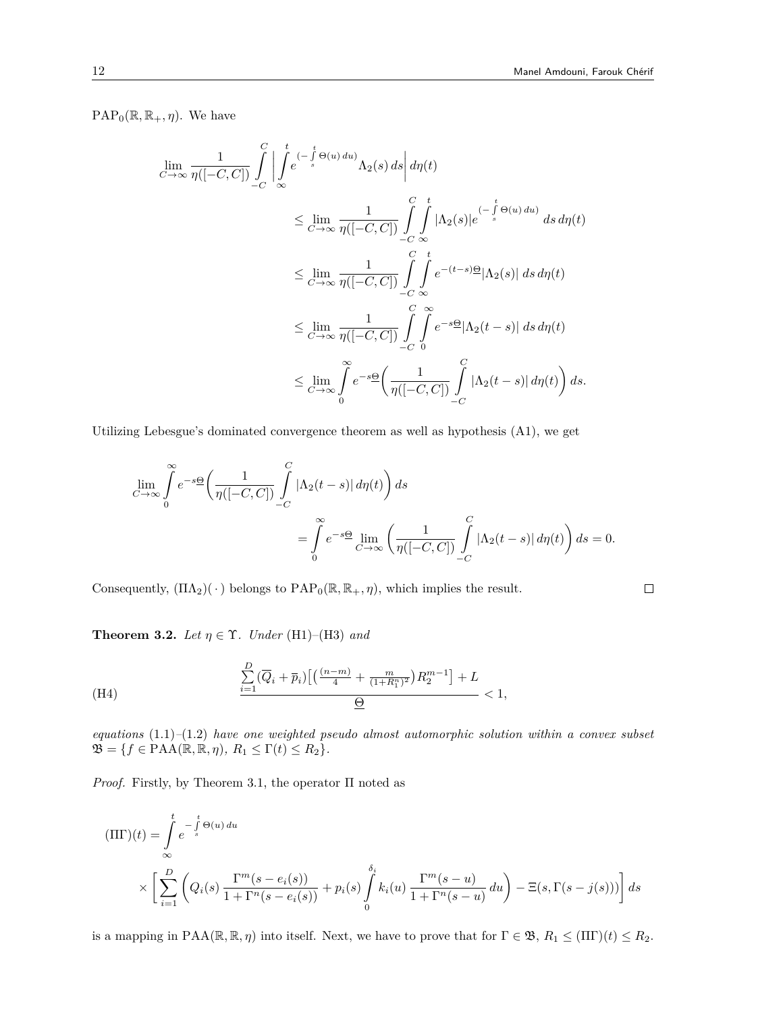$\Box$ 

 $PAP_0(\mathbb{R}, \mathbb{R}_+, \eta)$ . We have

$$
\lim_{C \to \infty} \frac{1}{\eta([-C, C])} \int_{-C}^{C} \left| \int_{-\infty}^{t} e^{-\int_{s}^{t} \Theta(u) du} \Lambda_{2}(s) ds \right| d\eta(t)
$$
\n
$$
\leq \lim_{C \to \infty} \frac{1}{\eta([-C, C])} \int_{-C}^{C} \int_{-\infty}^{t} |\Lambda_{2}(s)| e^{-\int_{s}^{t} \Theta(u) du} ds d\eta(t)
$$
\n
$$
\leq \lim_{C \to \infty} \frac{1}{\eta([-C, C])} \int_{-C}^{C} \int_{-\infty}^{t} e^{-(t-s) \Theta} |\Lambda_{2}(s)| ds d\eta(t)
$$
\n
$$
\leq \lim_{C \to \infty} \frac{1}{\eta([-C, C])} \int_{-C}^{C} \int_{0}^{\infty} e^{-s \Theta} |\Lambda_{2}(t - s)| ds d\eta(t)
$$
\n
$$
\leq \lim_{C \to \infty} \int_{0}^{\infty} e^{-s \Theta} \left( \frac{1}{\eta([-C, C])} \int_{-C}^{C} |\Lambda_{2}(t - s)| d\eta(t) \right) ds.
$$

Utilizing Lebesgue's dominated convergence theorem as well as hypothesis (A1), we get

$$
\lim_{C \to \infty} \int_{0}^{\infty} e^{-s\Theta} \left( \frac{1}{\eta([-C, C])} \int_{-C}^{C} |\Lambda_2(t - s)| d\eta(t) \right) ds
$$
  
= 
$$
\int_{0}^{\infty} e^{-s\Theta} \lim_{C \to \infty} \left( \frac{1}{\eta([-C, C])} \int_{-C}^{C} |\Lambda_2(t - s)| d\eta(t) \right) ds = 0.
$$

Consequently,  $(\Pi \Lambda_2)(\cdot)$  belongs to  $PAP_0(\mathbb{R}, \mathbb{R}_+, \eta)$ , which implies the result.

**Theorem 3.2.** *Let*  $\eta \in \Upsilon$ *. Under* (H1)–(H3) *and* 

(H4) 
$$
\frac{\sum_{i=1}^{D} (\overline{Q}_i + \overline{p}_i) \left[ \left( \frac{(n-m)}{4} + \frac{m}{(1+R_1^n)^2} \right) R_2^{m-1} \right] + L}{\underline{\Theta}} < 1,
$$

*equations* (1.1)*–*(1.2) *have one weighted pseudo almost automorphic solution within a convex subset*  $\mathfrak{B} = \{ f \in \text{PAA}(\mathbb{R}, \mathbb{R}, \eta), R_1 \leq \Gamma(t) \leq R_2 \}.$ 

*Proof.* Firstly, by Theorem 3.1, the operator  $\Pi$  noted as

$$
\begin{aligned} (\Pi \Gamma)(t) &= \int\limits_{-\infty}^t e^{-\int\limits_s^t \Theta(u) \, du} \\ &\times \left[ \sum\limits_{i=1}^D \left( Q_i(s) \, \frac{\Gamma^m(s - e_i(s))}{1 + \Gamma^n(s - e_i(s))} + p_i(s) \int\limits_0^{\delta_i} k_i(u) \, \frac{\Gamma^m(s - u)}{1 + \Gamma^n(s - u)} \, du \right) - \Xi(s, \Gamma(s - j(s))) \right] ds \end{aligned}
$$

is a mapping in  $\text{PAA}(\mathbb{R}, \mathbb{R}, \eta)$  into itself. Next, we have to prove that for  $\Gamma \in \mathfrak{B}, R_1 \leq (\Pi \Gamma)(t) \leq R_2$ .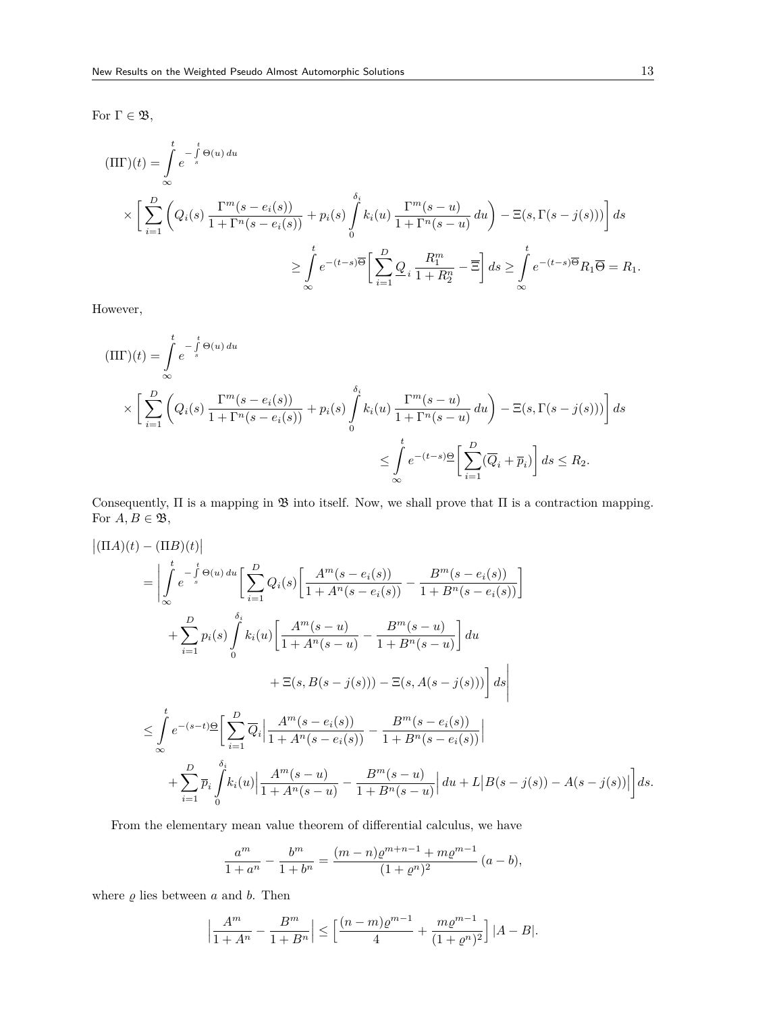For Γ *∈* B,

$$
\begin{split} (\Pi \Gamma)(t) &= \int_{0}^{t} e^{-\int_{s}^{t} \Theta(u) \, du} \\ &\times \left[ \sum_{i=1}^{D} \left( Q_{i}(s) \, \frac{\Gamma^{m}(s - e_{i}(s))}{1 + \Gamma^{n}(s - e_{i}(s))} + p_{i}(s) \int_{0}^{\delta_{i}} k_{i}(u) \, \frac{\Gamma^{m}(s - u)}{1 + \Gamma^{n}(s - u)} \, du \right) - \Xi(s, \Gamma(s - j(s))) \right] ds \\ &\geq \int_{0}^{t} e^{-(t-s)\overline{\Theta}} \left[ \sum_{i=1}^{D} \underline{Q}_{i} \, \frac{R_{1}^{m}}{1 + R_{2}^{n}} - \overline{\Xi} \right] ds \geq \int_{0}^{t} e^{-(t-s)\overline{\Theta}} R_{1} \overline{\Theta} = R_{1}. \end{split}
$$

However,

$$
\begin{aligned} (\Pi \Gamma)(t) &= \int_{\infty}^{t} e^{-\int_{s}^{t} \Theta(u) \, du} \\ &\times \left[ \sum_{i=1}^{D} \left( Q_{i}(s) \, \frac{\Gamma^{m}(s - e_{i}(s))}{1 + \Gamma^{n}(s - e_{i}(s))} + p_{i}(s) \int_{0}^{\delta_{i}} k_{i}(u) \, \frac{\Gamma^{m}(s - u)}{1 + \Gamma^{n}(s - u)} \, du \right) - \Xi(s, \Gamma(s - j(s))) \right] \, ds \\ &\leq \int_{\infty}^{t} e^{-(t-s) \underline{\Theta}} \left[ \sum_{i=1}^{D} (\overline{Q}_{i} + \overline{p}_{i}) \right] \, ds \leq R_{2}. \end{aligned}
$$

Consequently,  $\Pi$  is a mapping in  $\mathfrak B$  into itself. Now, we shall prove that  $\Pi$  is a contraction mapping. For  $A, B \in \mathfrak{B}$ ,

$$
\begin{split}\n\left| (\Pi A)(t) - (\Pi B)(t) \right| \\
&= \left| \int_{\infty}^{t} e^{-\int_{s}^{t} \Theta(u) \, du} \left[ \sum_{i=1}^{D} Q_{i}(s) \left[ \frac{A^{m}(s - e_{i}(s))}{1 + A^{n}(s - e_{i}(s))} - \frac{B^{m}(s - e_{i}(s))}{1 + B^{n}(s - e_{i}(s))} \right] \right. \\
&\left. + \sum_{i=1}^{D} p_{i}(s) \int_{0}^{\delta_{i}} k_{i}(u) \left[ \frac{A^{m}(s - u)}{1 + A^{n}(s - u)} - \frac{B^{m}(s - u)}{1 + B^{n}(s - u)} \right] du \right. \\
&\left. + \Xi(s, B(s - j(s))) - \Xi(s, A(s - j(s))) \right] ds \\
&\leq \int_{\infty}^{t} e^{-(s - t)} \frac{\Theta}{\omega} \left[ \sum_{i=1}^{D} \overline{Q}_{i} \left| \frac{A^{m}(s - e_{i}(s))}{1 + A^{n}(s - e_{i}(s))} - \frac{B^{m}(s - e_{i}(s))}{1 + B^{n}(s - e_{i}(s))} \right| \right. \\
&\left. + \sum_{i=1}^{D} \overline{p}_{i} \int_{0}^{\delta_{i}} k_{i}(u) \left| \frac{A^{m}(s - u)}{1 + A^{n}(s - u)} - \frac{B^{m}(s - u)}{1 + B^{n}(s - u)} \right| du + L |B(s - j(s)) - A(s - j(s))| \right] ds.\n\end{split}
$$

From the elementary mean value theorem of differential calculus, we have

$$
\frac{a^m}{1+a^n} - \frac{b^m}{1+b^n} = \frac{(m-n)\varrho^{m+n-1} + m\varrho^{m-1}}{(1+\varrho^n)^2} (a-b),
$$

where  $\rho$  lies between  $a$  and  $b$ . Then

$$
\left|\frac{A^m}{1+A^n}-\frac{B^m}{1+B^n}\right| \le \left[\frac{(n-m)\varrho^{m-1}}{4}+\frac{m\varrho^{m-1}}{(1+\varrho^n)^2}\right]|A-B|.
$$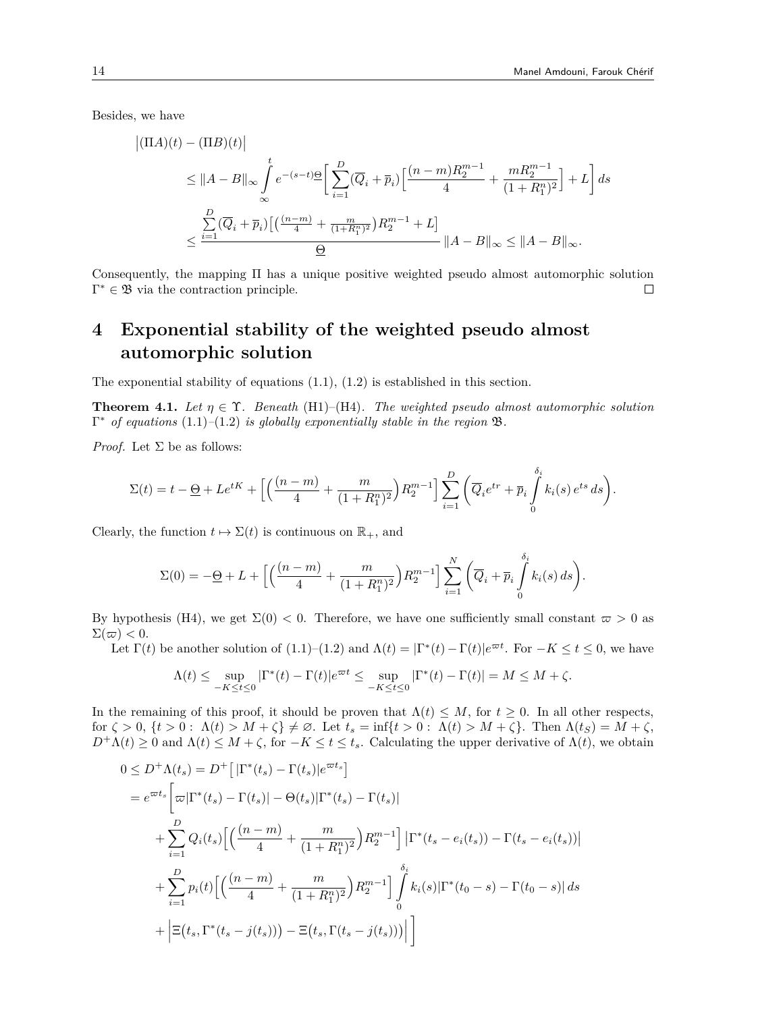Besides, we have

$$
\begin{split} \left| (\Pi A)(t) - (\Pi B)(t) \right| \\ &\leq \|A-B\|_\infty \int \limits_{-\infty}^t e^{-(s-t)\underline{\Theta}} \bigg[ \sum_{i=1}^D (\overline{Q}_i + \overline{p}_i) \Big[ \frac{(n-m)R_2^{m-1}}{4} + \frac{mR_2^{m-1}}{(1+R_1^n)^2} \Big] + L \bigg] \, ds \\ &\leq \frac{\sum\limits_{i=1}^D (\overline{Q}_i + \overline{p}_i) \big[ \big( \frac{(n-m)}{4} + \frac{m}{(1+R_1^n)^2} \big) R_2^{m-1} + L \big]}{\underline{\Theta}} \, \|A-B\|_\infty \leq \|A-B\|_\infty. \end{split}
$$

Consequently, the mapping Π has a unique positive weighted pseudo almost automorphic solution Γ *<sup>∗</sup> ∈* B via the contraction principle.  $\Box$ 

## **4 Exponential stability of the weighted pseudo almost automorphic solution**

The exponential stability of equations (1.1), (1.2) is established in this section.

**Theorem 4.1.** Let  $\eta \in \Upsilon$ . Beneath (H1)–(H4). The weighted pseudo almost automorphic solution Γ *<sup>∗</sup> of equations* (1.1)*–*(1.2) *is globally exponentially stable in the region* B*.*

*Proof.* Let  $\Sigma$  be as follows:

$$
\Sigma(t) = t - \underline{\Theta} + Le^{tK} + \Big[ \Big( \frac{(n-m)}{4} + \frac{m}{(1+R_1^n)^2} \Big) R_2^{m-1} \Big] \sum_{i=1}^D \Big( \overline{Q}_i e^{tr} + \overline{p}_i \int_0^{\delta_i} k_i(s) e^{ts} ds \Big).
$$

Clearly, the function  $t \mapsto \Sigma(t)$  is continuous on  $\mathbb{R}_+$ , and

$$
\Sigma(0) = -\underline{\Theta} + L + \Big[ \Big( \frac{(n-m)}{4} + \frac{m}{(1+R_1^n)^2} \Big) R_2^{m-1} \Big] \sum_{i=1}^N \Big( \overline{Q}_i + \overline{p}_i \int_0^{\delta_i} k_i(s) \, ds \Big).
$$

By hypothesis (H4), we get  $\Sigma(0) < 0$ . Therefore, we have one sufficiently small constant  $\varpi > 0$  as  $\Sigma(\varpi) < 0.$ 

Let  $\Gamma(t)$  be another solution of  $(1.1)$ – $(1.2)$  and  $\Lambda(t) = |\Gamma^*(t) - \Gamma(t)|e^{\varpi t}$ . For  $-K \le t \le 0$ , we have

$$
\Lambda(t) \leq \sup_{-K \leq t \leq 0} |\Gamma^*(t) - \Gamma(t)| e^{\varpi t} \leq \sup_{-K \leq t \leq 0} |\Gamma^*(t) - \Gamma(t)| = M \leq M + \zeta.
$$

In the remaining of this proof, it should be proven that  $\Lambda(t) \leq M$ , for  $t \geq 0$ . In all other respects, for  $\zeta > 0$ ,  $\{t > 0: \Lambda(t) > M + \zeta\} \neq \emptyset$ . Let  $t_s = \inf\{t > 0: \Lambda(t) > M + \zeta\}$ . Then  $\Lambda(t_s) = M + \zeta$ ,  $D^+\Lambda(t) \geq 0$  and  $\Lambda(t) \leq M + \zeta$ , for  $-K \leq t \leq t_s$ . Calculating the upper derivative of  $\Lambda(t)$ , we obtain

$$
0 \leq D^{+}\Lambda(t_{s}) = D^{+} [\vert \Gamma^{*}(t_{s}) - \Gamma(t_{s}) \vert e^{\varpi t_{s}}]
$$
  
\n
$$
= e^{\varpi t_{s}} \bigg[ \varpi \vert \Gamma^{*}(t_{s}) - \Gamma(t_{s}) \vert - \Theta(t_{s}) \vert \Gamma^{*}(t_{s}) - \Gamma(t_{s}) \vert
$$
  
\n
$$
+ \sum_{i=1}^{D} Q_{i}(t_{s}) \bigg[ \bigg( \frac{(n-m)}{4} + \frac{m}{(1+R_{1}^{n})^{2}} \bigg) R_{2}^{m-1} \bigg] \vert \Gamma^{*}(t_{s} - e_{i}(t_{s})) - \Gamma(t_{s} - e_{i}(t_{s})) \vert
$$
  
\n
$$
+ \sum_{i=1}^{D} p_{i}(t) \bigg[ \bigg( \frac{(n-m)}{4} + \frac{m}{(1+R_{1}^{n})^{2}} \bigg) R_{2}^{m-1} \bigg] \int_{0}^{\delta_{i}} k_{i}(s) \vert \Gamma^{*}(t_{0} - s) - \Gamma(t_{0} - s) \vert ds
$$
  
\n
$$
+ \bigg| \Xi(t_{s}, \Gamma^{*}(t_{s} - j(t_{s}))) - \Xi(t_{s}, \Gamma(t_{s} - j(t_{s}))) \bigg| \bigg]
$$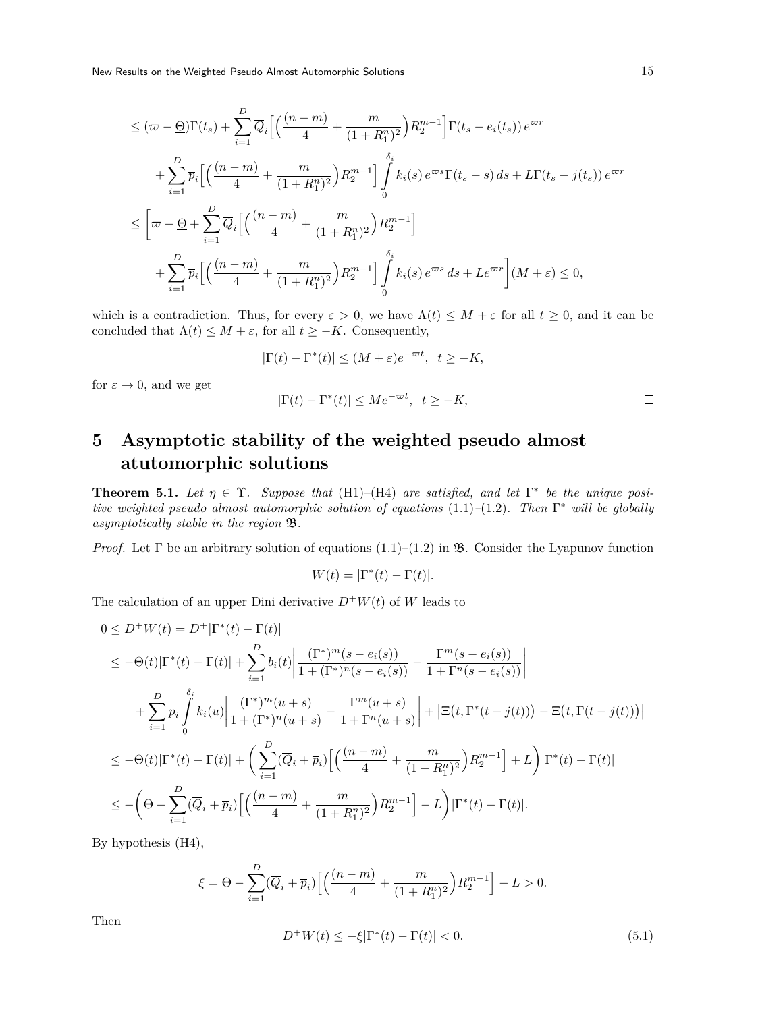$$
\leq (\pi - \underline{\Theta})\Gamma(t_s) + \sum_{i=1}^{D} \overline{Q}_i \Big[ \Big( \frac{(n-m)}{4} + \frac{m}{(1+R_1^n)^2} \Big) R_2^{m-1} \Big] \Gamma(t_s - e_i(t_s)) e^{\varpi r} \n+ \sum_{i=1}^{D} \overline{p}_i \Big[ \Big( \frac{(n-m)}{4} + \frac{m}{(1+R_1^n)^2} \Big) R_2^{m-1} \Big] \int_0^{\delta_i} k_i(s) e^{\varpi s} \Gamma(t_s - s) ds + L\Gamma(t_s - j(t_s)) e^{\varpi r} \n\leq \Big[ \varpi - \underline{\Theta} + \sum_{i=1}^{D} \overline{Q}_i \Big[ \Big( \frac{(n-m)}{4} + \frac{m}{(1+R_1^n)^2} \Big) R_2^{m-1} \Big] \n+ \sum_{i=1}^{D} \overline{p}_i \Big[ \Big( \frac{(n-m)}{4} + \frac{m}{(1+R_1^n)^2} \Big) R_2^{m-1} \Big] \int_0^{\delta_i} k_i(s) e^{\varpi s} ds + Le^{\varpi r} \Big] (M + \varepsilon) \leq 0,
$$

which is a contradiction. Thus, for every  $\varepsilon > 0$ , we have  $\Lambda(t) \leq M + \varepsilon$  for all  $t \geq 0$ , and it can be concluded that  $\Lambda(t) \leq M + \varepsilon$ , for all  $t \geq -K$ . Consequently,

$$
|\Gamma(t) - \Gamma^*(t)| \le (M + \varepsilon)e^{-\varpi t}, \quad t \ge -K,
$$

for  $\varepsilon \to 0$ , and we get

$$
|\Gamma(t) - \Gamma^*(t)| \le Me^{-\varpi t}, \ \ t \ge -K,
$$

**5 Asymptotic stability of the weighted pseudo almost atutomorphic solutions**

**Theorem 5.1.** Let  $\eta \in \Upsilon$ . Suppose that (H1)–(H4) are satisfied, and let  $\Gamma^*$  be the unique posi*tive weighted pseudo almost automorphic solution of equations* (1.1)*–*(1.2)*. Then* Γ *<sup>∗</sup> will be globally asymptotically stable in the region* B*.*

*Proof.* Let  $\Gamma$  be an arbitrary solution of equations  $(1.1)$ – $(1.2)$  in  $\mathfrak{B}$ . Consider the Lyapunov function

$$
W(t) = |\Gamma^*(t) - \Gamma(t)|.
$$

The calculation of an upper Dini derivative  $D^+W(t)$  of W leads to

$$
0 \leq D^{+}W(t) = D^{+}|\Gamma^{*}(t) - \Gamma(t)|
$$
  
\n
$$
\leq -\Theta(t)|\Gamma^{*}(t) - \Gamma(t)| + \sum_{i=1}^{D} b_{i}(t) \left| \frac{(\Gamma^{*})^{m}(s - e_{i}(s))}{1 + (\Gamma^{*})^{n}(s - e_{i}(s))} - \frac{\Gamma^{m}(s - e_{i}(s))}{1 + \Gamma^{n}(s - e_{i}(s))} \right|
$$
  
\n
$$
+ \sum_{i=1}^{D} \overline{p}_{i} \int_{i=1}^{\delta_{i}} k_{i}(u) \left| \frac{(\Gamma^{*})^{m}(u+s)}{1 + (\Gamma^{*})^{n}(u+s)} - \frac{\Gamma^{m}(u+s)}{1 + \Gamma^{n}(u+s)} \right| + \left| \Xi(t, \Gamma^{*}(t-j(t))) - \Xi(t, \Gamma(t-j(t))) \right|
$$
  
\n
$$
\leq -\Theta(t)|\Gamma^{*}(t) - \Gamma(t)| + \left( \sum_{i=1}^{D} (\overline{Q}_{i} + \overline{p}_{i}) \left[ \left( \frac{(n-m)}{4} + \frac{m}{(1 + R_{1}^{n})^{2}} \right) R_{2}^{m-1} \right] + L \right) |\Gamma^{*}(t) - \Gamma(t)|
$$
  
\n
$$
\leq -\left( \underline{\Theta} - \sum_{i=1}^{D} (\overline{Q}_{i} + \overline{p}_{i}) \left[ \left( \frac{(n-m)}{4} + \frac{m}{(1 + R_{1}^{n})^{2}} \right) R_{2}^{m-1} \right] - L \right) |\Gamma^{*}(t) - \Gamma(t)|.
$$

By hypothesis (H4),

$$
\xi = \underline{\Theta} - \sum_{i=1}^{D} (\overline{Q}_i + \overline{p}_i) \left[ \left( \frac{(n-m)}{4} + \frac{m}{(1+R_1^n)^2} \right) R_2^{m-1} \right] - L > 0.
$$

Then

$$
D^{+}W(t) \le -\xi|\Gamma^{*}(t) - \Gamma(t)| < 0.
$$
\n(5.1)

 $\Box$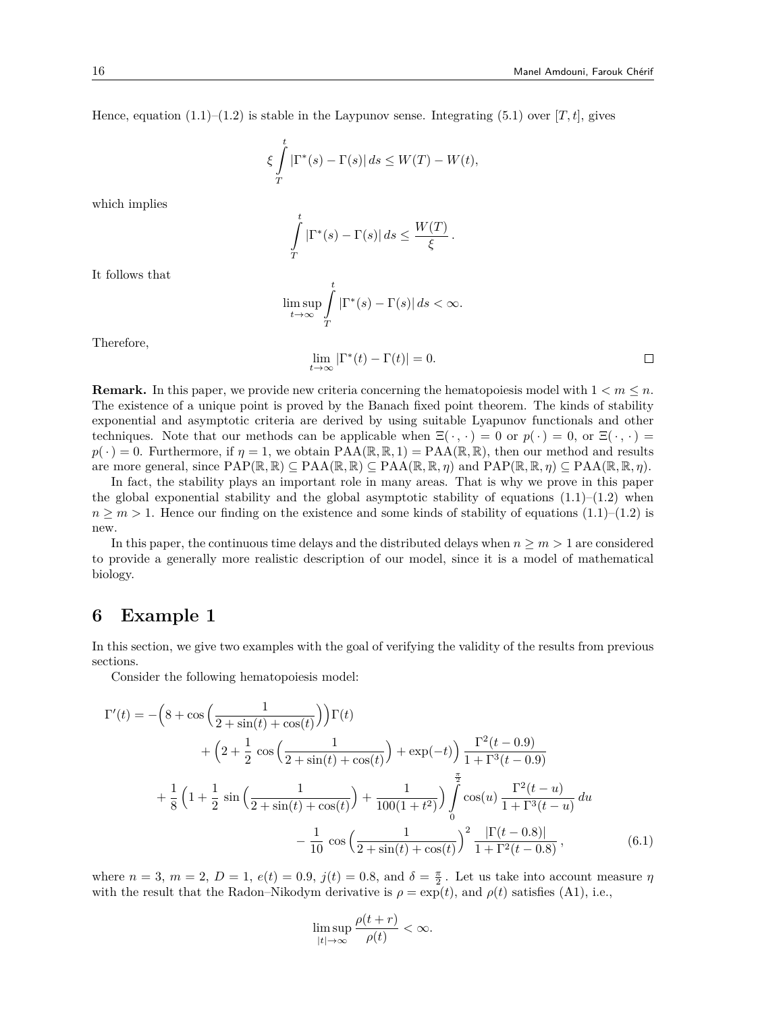Hence, equation  $(1.1)$ – $(1.2)$  is stable in the Laypunov sense. Integrating  $(5.1)$  over  $[T, t]$ , gives

$$
\xi \int\limits_T^t |\Gamma^*(s)-\Gamma(s)|\,ds \leq W(T)-W(t),
$$

which implies

$$
\int_{T}^{t} |\Gamma^*(s) - \Gamma(s)| ds \le \frac{W(T)}{\xi}.
$$

It follows that

$$
\limsup_{t \to \infty} \int_{T}^{t} |\Gamma^*(s) - \Gamma(s)| ds < \infty.
$$

Therefore,

$$
\lim_{t \to \infty} |\Gamma^*(t) - \Gamma(t)| = 0. \qquad \qquad \Box
$$

**Remark.** In this paper, we provide new criteria concerning the hematopoiesis model with  $1 < m \leq n$ . The existence of a unique point is proved by the Banach fixed point theorem. The kinds of stability exponential and asymptotic criteria are derived by using suitable Lyapunov functionals and other techniques. Note that our methods can be applicable when  $\Xi(\cdot, \cdot) = 0$  or  $p(\cdot) = 0$ , or  $\Xi(\cdot, \cdot) = 0$  $p(\cdot) = 0$ . Furthermore, if  $\eta = 1$ , we obtain PAA( $\mathbb{R}, \mathbb{R}, 1$ ) = PAA( $\mathbb{R}, \mathbb{R}$ ), then our method and results are more general, since  $PAP(\mathbb{R}, \mathbb{R}) \subseteq PAA(\mathbb{R}, \mathbb{R}) \subseteq PAA(\mathbb{R}, \mathbb{R}, \eta)$  and  $PAP(\mathbb{R}, \mathbb{R}, \eta) \subseteq PAA(\mathbb{R}, \mathbb{R}, \eta)$ .

In fact, the stability plays an important role in many areas. That is why we prove in this paper the global exponential stability and the global asymptotic stability of equations  $(1.1)$ – $(1.2)$  when  $n \geq m > 1$ . Hence our finding on the existence and some kinds of stability of equations (1.1)–(1.2) is new.

In this paper, the continuous time delays and the distributed delays when  $n \geq m > 1$  are considered to provide a generally more realistic description of our model, since it is a model of mathematical biology.

### **6 Example 1**

In this section, we give two examples with the goal of verifying the validity of the results from previous sections.

Consider the following hematopoiesis model:

$$
\Gamma'(t) = -\left(8 + \cos\left(\frac{1}{2 + \sin(t) + \cos(t)}\right)\right)\Gamma(t) \n+ \left(2 + \frac{1}{2}\cos\left(\frac{1}{2 + \sin(t) + \cos(t)}\right) + \exp(-t)\right)\frac{\Gamma^2(t - 0.9)}{1 + \Gamma^3(t - 0.9)} \n+ \frac{1}{8}\left(1 + \frac{1}{2}\sin\left(\frac{1}{2 + \sin(t) + \cos(t)}\right) + \frac{1}{100(1 + t^2)}\right)\int_{0}^{\frac{\pi}{2}} \cos(u)\frac{\Gamma^2(t - u)}{1 + \Gamma^3(t - u)} du \n- \frac{1}{10}\cos\left(\frac{1}{2 + \sin(t) + \cos(t)}\right)^2\frac{|\Gamma(t - 0.8)|}{1 + \Gamma^2(t - 0.8)},
$$
\n(6.1)

where  $n = 3$ ,  $m = 2$ ,  $D = 1$ ,  $e(t) = 0.9$ ,  $j(t) = 0.8$ , and  $\delta = \frac{\pi}{2}$ . Let us take into account measure  $\eta$ with the result that the Radon–Nikodym derivative is  $\rho = \exp(t)$ , and  $\rho(t)$  satisfies (A1), i.e.,

$$
\limsup_{|t|\to\infty}\frac{\rho(t+r)}{\rho(t)}<\infty.
$$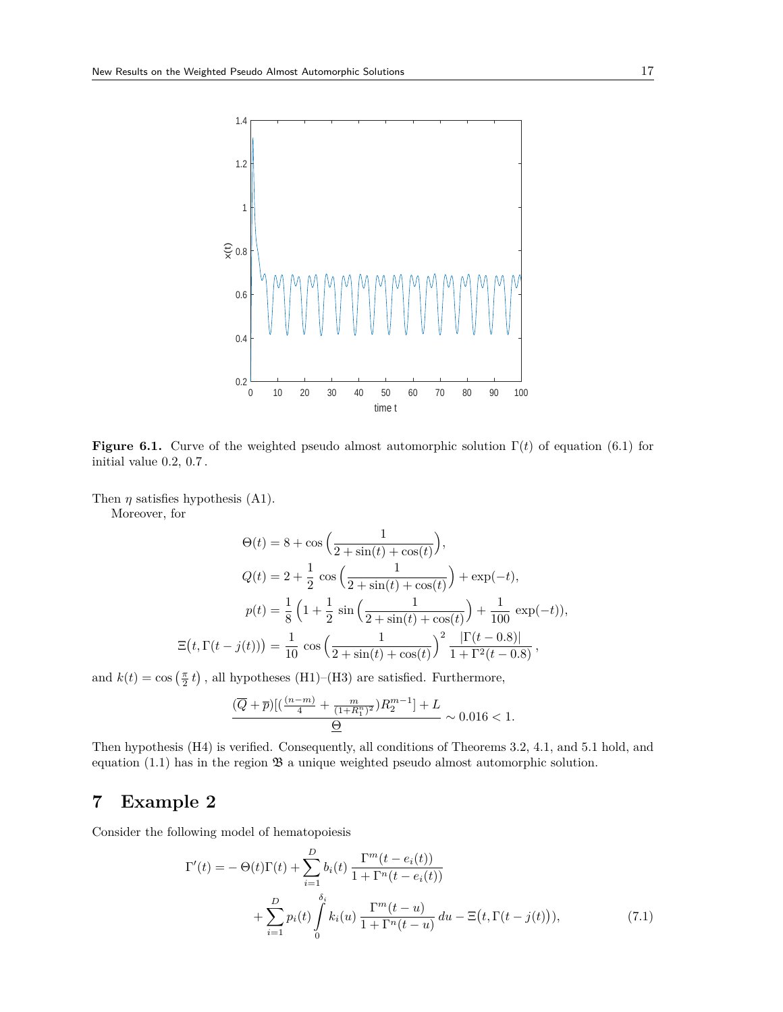

**Figure 6.1.** Curve of the weighted pseudo almost automorphic solution  $\Gamma(t)$  of equation (6.1) for initial value 0.2, 0.7 .

Then  $\eta$  satisfies hypothesis (A1).

Ξ (

Moreover, for

$$
\Theta(t) = 8 + \cos\left(\frac{1}{2 + \sin(t) + \cos(t)}\right),
$$
  
\n
$$
Q(t) = 2 + \frac{1}{2}\cos\left(\frac{1}{2 + \sin(t) + \cos(t)}\right) + \exp(-t),
$$
  
\n
$$
p(t) = \frac{1}{8}\left(1 + \frac{1}{2}\sin\left(\frac{1}{2 + \sin(t) + \cos(t)}\right) + \frac{1}{100}\exp(-t)),
$$
  
\n
$$
t, \Gamma(t - j(t)) = \frac{1}{10}\cos\left(\frac{1}{2 + \sin(t) + \cos(t)}\right)^2 \frac{|\Gamma(t - 0.8)|}{1 + \Gamma^2(t - 0.8)},
$$

and  $k(t) = \cos\left(\frac{\pi}{2} t\right)$ , all hypotheses (H1)–(H3) are satisfied. Furthermore,

$$
\frac{(\overline{Q}+\overline{p})[(\frac{(n-m)}{4}+\frac{m}{(1+R_1^n)^2})R_2^{m-1}]+L}{\underline{\Theta}} \sim 0.016 < 1.
$$

Then hypothesis (H4) is verified. Consequently, all conditions of Theorems 3.2, 4.1, and 5.1 hold, and equation  $(1.1)$  has in the region  $\mathfrak{B}$  a unique weighted pseudo almost automorphic solution.

## **7 Example 2**

Consider the following model of hematopoiesis

$$
\Gamma'(t) = -\Theta(t)\Gamma(t) + \sum_{i=1}^{D} b_i(t) \frac{\Gamma^m(t - e_i(t))}{1 + \Gamma^n(t - e_i(t))} \n+ \sum_{i=1}^{D} p_i(t) \int_0^{\delta_i} k_i(u) \frac{\Gamma^m(t - u)}{1 + \Gamma^n(t - u)} du - \Xi(t, \Gamma(t - j(t))),
$$
\n(7.1)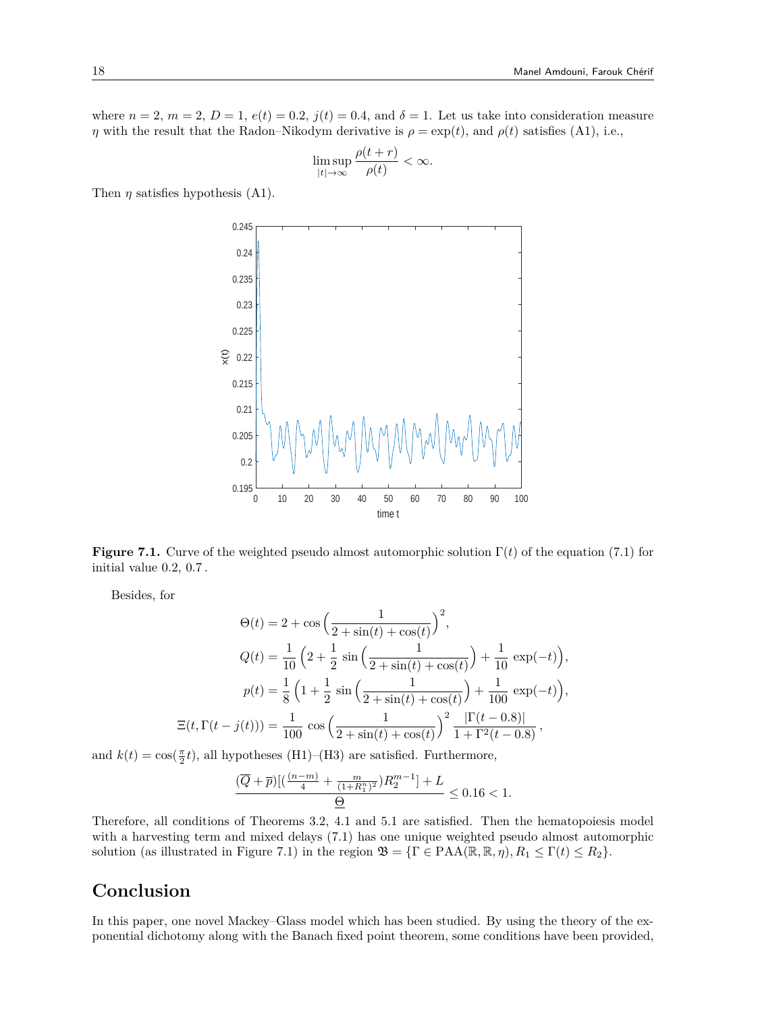where  $n = 2$ ,  $m = 2$ ,  $D = 1$ ,  $e(t) = 0.2$ ,  $j(t) = 0.4$ , and  $\delta = 1$ . Let us take into consideration measure *η* with the result that the Radon–Nikodym derivative is  $\rho = \exp(t)$ , and  $\rho(t)$  satisfies (A1), i.e.,

$$
\limsup_{|t|\to\infty}\frac{\rho(t+r)}{\rho(t)}<\infty.
$$

Then  $\eta$  satisfies hypothesis (A1).



**Figure 7.1.** Curve of the weighted pseudo almost automorphic solution  $\Gamma(t)$  of the equation (7.1) for initial value 0.2, 0.7 .

Besides, for

$$
\Theta(t) = 2 + \cos\left(\frac{1}{2 + \sin(t) + \cos(t)}\right)^2,
$$
  
\n
$$
Q(t) = \frac{1}{10} \left(2 + \frac{1}{2} \sin\left(\frac{1}{2 + \sin(t) + \cos(t)}\right) + \frac{1}{10} \exp(-t)\right),
$$
  
\n
$$
p(t) = \frac{1}{8} \left(1 + \frac{1}{2} \sin\left(\frac{1}{2 + \sin(t) + \cos(t)}\right) + \frac{1}{100} \exp(-t)\right),
$$
  
\n
$$
\Xi(t, \Gamma(t - j(t))) = \frac{1}{100} \cos\left(\frac{1}{2 + \sin(t) + \cos(t)}\right)^2 \frac{|\Gamma(t - 0.8)|}{1 + \Gamma^2(t - 0.8)},
$$

and  $k(t) = \cos(\frac{\pi}{2}t)$ , all hypotheses (H1)–(H3) are satisfied. Furthermore,

$$
\frac{(\overline{Q}+\overline{p})[(\frac{(n-m)}{4}+\frac{m}{(1+R_1^n)^2})R_2^{m-1}]+L}{\underline{\Theta}}\leq 0.16<1.
$$

Therefore, all conditions of Theorems 3.2, 4.1 and 5.1 are satisfied. Then the hematopoiesis model with a harvesting term and mixed delays (7.1) has one unique weighted pseudo almost automorphic solution (as illustrated in Figure 7.1) in the region  $\mathfrak{B} = {\Gamma \in \text{PAA}(\mathbb{R}, \mathbb{R}, \eta), R_1 \leq \Gamma(t) \leq R_2}$ .

## **Conclusion**

In this paper, one novel Mackey–Glass model which has been studied. By using the theory of the exponential dichotomy along with the Banach fixed point theorem, some conditions have been provided,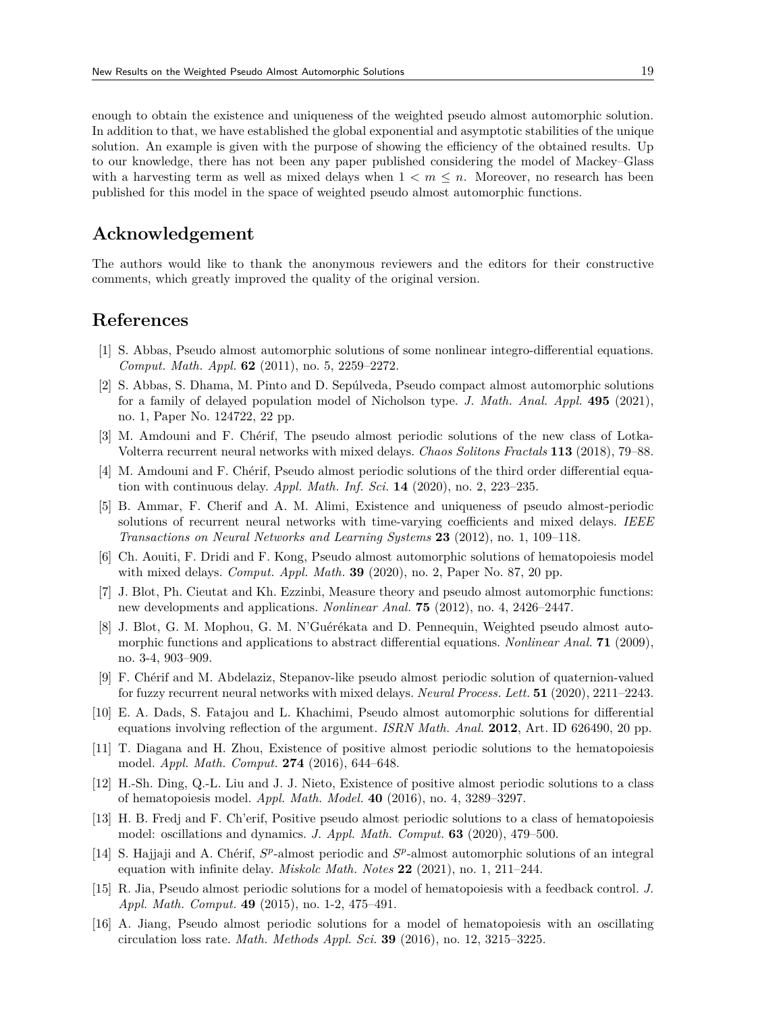enough to obtain the existence and uniqueness of the weighted pseudo almost automorphic solution. In addition to that, we have established the global exponential and asymptotic stabilities of the unique solution. An example is given with the purpose of showing the efficiency of the obtained results. Up to our knowledge, there has not been any paper published considering the model of Mackey–Glass with a harvesting term as well as mixed delays when  $1 \lt m \lt n$ . Moreover, no research has been published for this model in the space of weighted pseudo almost automorphic functions.

### **Acknowledgement**

The authors would like to thank the anonymous reviewers and the editors for their constructive comments, which greatly improved the quality of the original version.

### **References**

- [1] S. Abbas, Pseudo almost automorphic solutions of some nonlinear integro-differential equations. *Comput. Math. Appl.* **62** (2011), no. 5, 2259–2272.
- [2] S. Abbas, S. Dhama, M. Pinto and D. Sepúlveda, Pseudo compact almost automorphic solutions for a family of delayed population model of Nicholson type. *J. Math. Anal. Appl.* **495** (2021), no. 1, Paper No. 124722, 22 pp.
- [3] M. Amdouni and F. Chérif, The pseudo almost periodic solutions of the new class of Lotka-Volterra recurrent neural networks with mixed delays. *Chaos Solitons Fractals* **113** (2018), 79–88.
- [4] M. Amdouni and F. Chérif, Pseudo almost periodic solutions of the third order differential equation with continuous delay. *Appl. Math. Inf. Sci.* **14** (2020), no. 2, 223–235.
- [5] B. Ammar, F. Cherif and A. M. Alimi, Existence and uniqueness of pseudo almost-periodic solutions of recurrent neural networks with time-varying coefficients and mixed delays. *IEEE Transactions on Neural Networks and Learning Systems* **23** (2012), no. 1, 109–118.
- [6] Ch. Aouiti, F. Dridi and F. Kong, Pseudo almost automorphic solutions of hematopoiesis model with mixed delays. *Comput. Appl. Math.* **39** (2020), no. 2, Paper No. 87, 20 pp.
- [7] J. Blot, Ph. Cieutat and Kh. Ezzinbi, Measure theory and pseudo almost automorphic functions: new developments and applications. *Nonlinear Anal.* **75** (2012), no. 4, 2426–2447.
- [8] J. Blot, G. M. Mophou, G. M. N'Guérékata and D. Pennequin, Weighted pseudo almost automorphic functions and applications to abstract differential equations. *Nonlinear Anal.* **71** (2009), no. 3-4, 903–909.
- [9] F. Chérif and M. Abdelaziz, Stepanov-like pseudo almost periodic solution of quaternion-valued for fuzzy recurrent neural networks with mixed delays. *Neural Process. Lett.* **51** (2020), 2211–2243.
- [10] E. A. Dads, S. Fatajou and L. Khachimi, Pseudo almost automorphic solutions for differential equations involving reflection of the argument. *ISRN Math. Anal.* **2012**, Art. ID 626490, 20 pp.
- [11] T. Diagana and H. Zhou, Existence of positive almost periodic solutions to the hematopoiesis model. *Appl. Math. Comput.* **274** (2016), 644–648.
- [12] H.-Sh. Ding, Q.-L. Liu and J. J. Nieto, Existence of positive almost periodic solutions to a class of hematopoiesis model. *Appl. Math. Model.* **40** (2016), no. 4, 3289–3297.
- [13] H. B. Fredj and F. Ch'erif, Positive pseudo almost periodic solutions to a class of hematopoiesis model: oscillations and dynamics. *J. Appl. Math. Comput.* **63** (2020), 479–500.
- [14] S. Hajjaji and A. Chérif,  $S^p$ -almost periodic and  $S^p$ -almost automorphic solutions of an integral equation with infinite delay. *Miskolc Math. Notes* **22** (2021), no. 1, 211–244.
- [15] R. Jia, Pseudo almost periodic solutions for a model of hematopoiesis with a feedback control. *J. Appl. Math. Comput.* **49** (2015), no. 1-2, 475–491.
- [16] A. Jiang, Pseudo almost periodic solutions for a model of hematopoiesis with an oscillating circulation loss rate. *Math. Methods Appl. Sci.* **39** (2016), no. 12, 3215–3225.